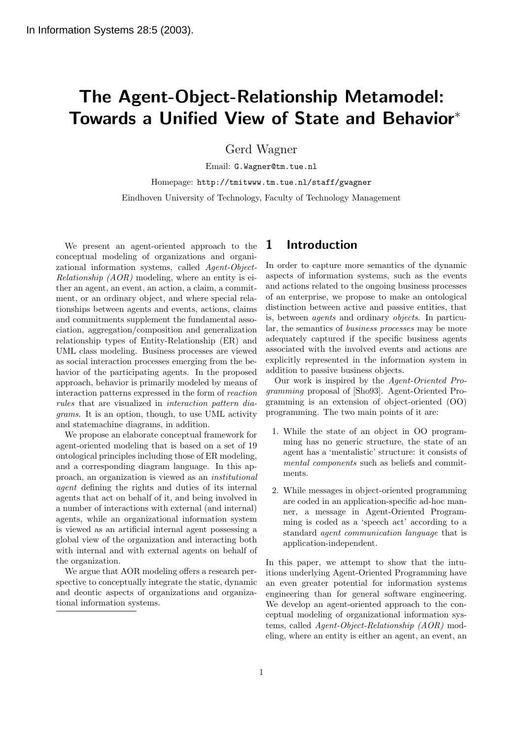# The Agent-Object-Relationship Metamodel: Towards a Unified View of State and Behavior<sup>∗</sup>

Gerd Wagner

Email: G.Wagner@tm.tue.nl

Homepage: http://tmitwww.tm.tue.nl/staff/gwagner Eindhoven University of Technology, Faculty of Technology Management

We present an agent-oriented approach to the conceptual modeling of organizations and organizational information systems, called Agent-Object-Relationship  $(AOR)$  modeling, where an entity is either an agent, an event, an action, a claim, a commitment, or an ordinary object, and where special relationships between agents and events, actions, claims and commitments supplement the fundamental association, aggregation/composition and generalization relationship types of Entity-Relationship (ER) and UML class modeling. Business processes are viewed as social interaction processes emerging from the behavior of the participating agents. In the proposed approach, behavior is primarily modeled by means of interaction patterns expressed in the form of reaction rules that are visualized in interaction pattern diagrams. It is an option, though, to use UML activity and statemachine diagrams, in addition.

We propose an elaborate conceptual framework for agent-oriented modeling that is based on a set of 19 ontological principles including those of ER modeling, and a corresponding diagram language. In this approach, an organization is viewed as an institutional agent defining the rights and duties of its internal agents that act on behalf of it, and being involved in a number of interactions with external (and internal) agents, while an organizational information system is viewed as an artificial internal agent possessing a global view of the organization and interacting both with internal and with external agents on behalf of the organization.

We argue that AOR modeling offers a research perspective to conceptually integrate the static, dynamic and deontic aspects of organizations and organizational information systems.

### 1 Introduction

In order to capture more semantics of the dynamic aspects of information systems, such as the events and actions related to the ongoing business processes of an enterprise, we propose to make an ontological distinction between active and passive entities, that is, between agents and ordinary objects. In particular, the semantics of business processes may be more adequately captured if the specific business agents associated with the involved events and actions are explicitly represented in the information system in addition to passive business objects.

Our work is inspired by the Agent-Oriented Programming proposal of [Sho93]. Agent-Oriented Programming is an extension of object-oriented (OO) programming. The two main points of it are:

- 1. While the state of an object in OO programming has no generic structure, the state of an agent has a 'mentalistic' structure: it consists of mental components such as beliefs and commitments.
- 2. While messages in object-oriented programming are coded in an application-specific ad-hoc manner, a message in Agent-Oriented Programming is coded as a 'speech act' according to a standard agent communication language that is application-independent.

In this paper, we attempt to show that the intuitions underlying Agent-Oriented Programming have an even greater potential for information systems engineering than for general software engineering. We develop an agent-oriented approach to the conceptual modeling of organizational information systems, called Agent-Object-Relationship (AOR) modeling, where an entity is either an agent, an event, an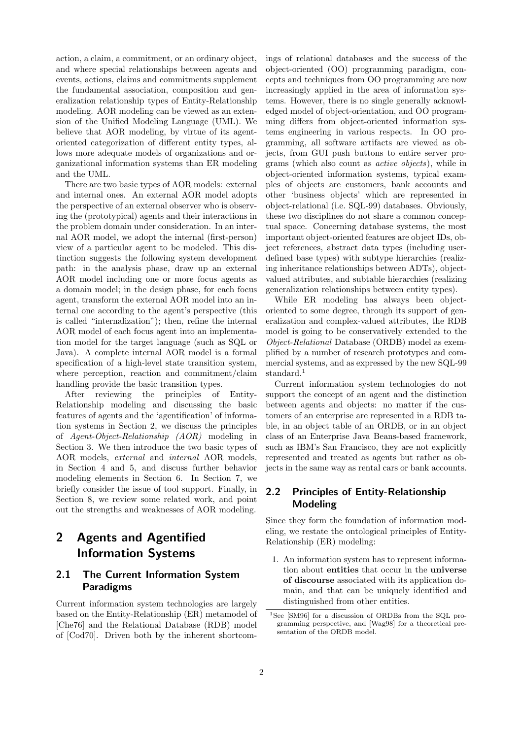action, a claim, a commitment, or an ordinary object, and where special relationships between agents and events, actions, claims and commitments supplement the fundamental association, composition and generalization relationship types of Entity-Relationship modeling. AOR modeling can be viewed as an extension of the Unified Modeling Language (UML). We believe that AOR modeling, by virtue of its agentoriented categorization of different entity types, allows more adequate models of organizations and organizational information systems than ER modeling and the UML.

There are two basic types of AOR models: external and internal ones. An external AOR model adopts the perspective of an external observer who is observing the (prototypical) agents and their interactions in the problem domain under consideration. In an internal AOR model, we adopt the internal (first-person) view of a particular agent to be modeled. This distinction suggests the following system development path: in the analysis phase, draw up an external AOR model including one or more focus agents as a domain model; in the design phase, for each focus agent, transform the external AOR model into an internal one according to the agent's perspective (this is called "internalization"); then, refine the internal AOR model of each focus agent into an implementation model for the target language (such as SQL or Java). A complete internal AOR model is a formal specification of a high-level state transition system, where perception, reaction and commitment/claim handling provide the basic transition types.

After reviewing the principles of Entity-Relationship modeling and discussing the basic features of agents and the 'agentification' of information systems in Section 2, we discuss the principles of Agent-Object-Relationship (AOR) modeling in Section 3. We then introduce the two basic types of AOR models, external and internal AOR models, in Section 4 and 5, and discuss further behavior modeling elements in Section 6. In Section 7, we briefly consider the issue of tool support. Finally, in Section 8, we review some related work, and point out the strengths and weaknesses of AOR modeling.

## 2 Agents and Agentified Information Systems

### 2.1 The Current Information System Paradigms

Current information system technologies are largely based on the Entity-Relationship (ER) metamodel of [Che76] and the Relational Database (RDB) model of [Cod70]. Driven both by the inherent shortcomings of relational databases and the success of the object-oriented (OO) programming paradigm, concepts and techniques from OO programming are now increasingly applied in the area of information systems. However, there is no single generally acknowledged model of object-orientation, and OO programming differs from object-oriented information systems engineering in various respects. In OO programming, all software artifacts are viewed as objects, from GUI push buttons to entire server programs (which also count as active objects), while in object-oriented information systems, typical examples of objects are customers, bank accounts and other 'business objects' which are represented in object-relational (i.e. SQL-99) databases. Obviously, these two disciplines do not share a common conceptual space. Concerning database systems, the most important object-oriented features are object IDs, object references, abstract data types (including userdefined base types) with subtype hierarchies (realizing inheritance relationships between ADTs), objectvalued attributes, and subtable hierarchies (realizing generalization relationships between entity types).

While ER modeling has always been objectoriented to some degree, through its support of generalization and complex-valued attributes, the RDB model is going to be conservatively extended to the Object-Relational Database (ORDB) model as exemplified by a number of research prototypes and commercial systems, and as expressed by the new SQL-99 standard.<sup>1</sup>

Current information system technologies do not support the concept of an agent and the distinction between agents and objects: no matter if the customers of an enterprise are represented in a RDB table, in an object table of an ORDB, or in an object class of an Enterprise Java Beans-based framework, such as IBM's San Francisco, they are not explicitly represented and treated as agents but rather as objects in the same way as rental cars or bank accounts.

### 2.2 Principles of Entity-Relationship Modeling

Since they form the foundation of information modeling, we restate the ontological principles of Entity-Relationship (ER) modeling:

1. An information system has to represent information about entities that occur in the universe of discourse associated with its application domain, and that can be uniquely identified and distinguished from other entities.

<sup>&</sup>lt;sup>1</sup>See [SM96] for a discussion of ORDBs from the SQL programming perspective, and [Wag98] for a theoretical presentation of the ORDB model.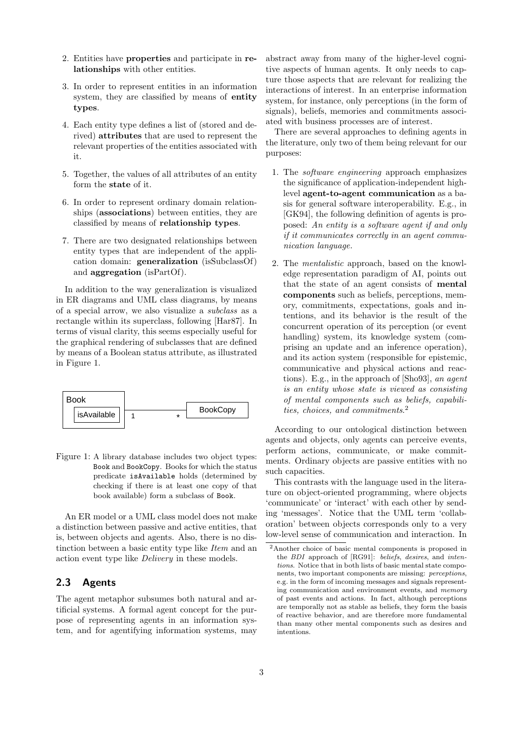- 2. Entities have properties and participate in relationships with other entities.
- 3. In order to represent entities in an information system, they are classified by means of **entity** types.
- 4. Each entity type defines a list of (stored and derived) attributes that are used to represent the relevant properties of the entities associated with it.
- 5. Together, the values of all attributes of an entity form the state of it.
- 6. In order to represent ordinary domain relationships (associations) between entities, they are classified by means of relationship types.
- 7. There are two designated relationships between entity types that are independent of the application domain: generalization (isSubclassOf) and aggregation (isPartOf).

In addition to the way generalization is visualized in ER diagrams and UML class diagrams, by means of a special arrow, we also visualize a subclass as a rectangle within its superclass, following [Har87]. In terms of visual clarity, this seems especially useful for the graphical rendering of subclasses that are defined by means of a Boolean status attribute, as illustrated in Figure 1.



Figure 1: A library database includes two object types: Book and BookCopy. Books for which the status predicate isAvailable holds (determined by checking if there is at least one copy of that book available) form a subclass of Book.

An ER model or a UML class model does not make a distinction between passive and active entities, that is, between objects and agents. Also, there is no distinction between a basic entity type like *Item* and an action event type like Delivery in these models.

### 2.3 Agents

The agent metaphor subsumes both natural and artificial systems. A formal agent concept for the purpose of representing agents in an information system, and for agentifying information systems, may abstract away from many of the higher-level cognitive aspects of human agents. It only needs to capture those aspects that are relevant for realizing the interactions of interest. In an enterprise information system, for instance, only perceptions (in the form of signals), beliefs, memories and commitments associated with business processes are of interest.

There are several approaches to defining agents in the literature, only two of them being relevant for our purposes:

- 1. The software engineering approach emphasizes the significance of application-independent highlevel agent-to-agent communication as a basis for general software interoperability. E.g., in [GK94], the following definition of agents is proposed: An entity is a software agent if and only if it communicates correctly in an agent communication language.
- 2. The mentalistic approach, based on the knowledge representation paradigm of AI, points out that the state of an agent consists of mental components such as beliefs, perceptions, memory, commitments, expectations, goals and intentions, and its behavior is the result of the concurrent operation of its perception (or event handling) system, its knowledge system (comprising an update and an inference operation), and its action system (responsible for epistemic, communicative and physical actions and reactions). E.g., in the approach of [Sho93], an agent is an entity whose state is viewed as consisting of mental components such as beliefs, capabilities, choices, and commitments. 2

According to our ontological distinction between agents and objects, only agents can perceive events, perform actions, communicate, or make commitments. Ordinary objects are passive entities with no such capacities.

This contrasts with the language used in the literature on object-oriented programming, where objects 'communicate' or 'interact' with each other by sending 'messages'. Notice that the UML term 'collaboration' between objects corresponds only to a very low-level sense of communication and interaction. In

<sup>2</sup>Another choice of basic mental components is proposed in the BDI approach of [RG91]: beliefs, desires, and intentions. Notice that in both lists of basic mental state components, two important components are missing: perceptions, e.g. in the form of incoming messages and signals representing communication and environment events, and memory of past events and actions. In fact, although perceptions are temporally not as stable as beliefs, they form the basis of reactive behavior, and are therefore more fundamental than many other mental components such as desires and intentions.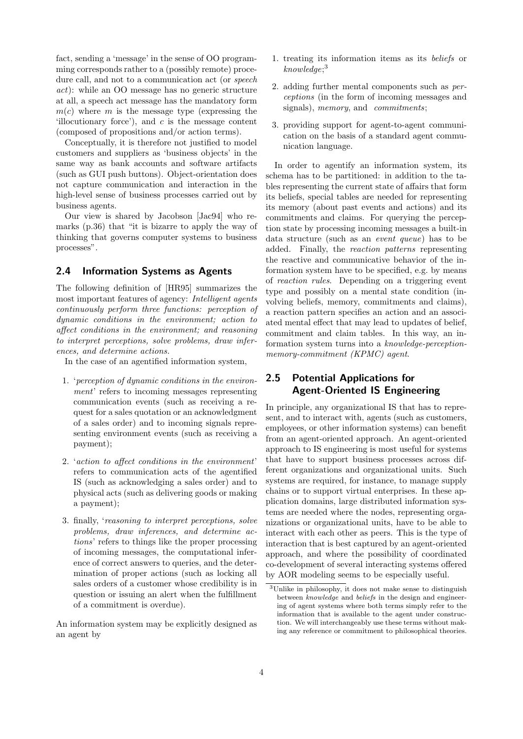fact, sending a 'message' in the sense of OO programming corresponds rather to a (possibly remote) procedure call, and not to a communication act (or speech act): while an OO message has no generic structure at all, a speech act message has the mandatory form  $m(c)$  where m is the message type (expressing the 'illocutionary force'), and  $c$  is the message content (composed of propositions and/or action terms).

Conceptually, it is therefore not justified to model customers and suppliers as 'business objects' in the same way as bank accounts and software artifacts (such as GUI push buttons). Object-orientation does not capture communication and interaction in the high-level sense of business processes carried out by business agents.

Our view is shared by Jacobson [Jac94] who remarks (p.36) that "it is bizarre to apply the way of thinking that governs computer systems to business processes".

#### 2.4 Information Systems as Agents

The following definition of [HR95] summarizes the most important features of agency: Intelligent agents continuously perform three functions: perception of dynamic conditions in the environment; action to affect conditions in the environment; and reasoning to interpret perceptions, solve problems, draw inferences, and determine actions.

In the case of an agentified information system,

- 1. 'perception of dynamic conditions in the environment' refers to incoming messages representing communication events (such as receiving a request for a sales quotation or an acknowledgment of a sales order) and to incoming signals representing environment events (such as receiving a payment);
- 2. 'action to affect conditions in the environment' refers to communication acts of the agentified IS (such as acknowledging a sales order) and to physical acts (such as delivering goods or making a payment);
- 3. finally, 'reasoning to interpret perceptions, solve problems, draw inferences, and determine actions' refers to things like the proper processing of incoming messages, the computational inference of correct answers to queries, and the determination of proper actions (such as locking all sales orders of a customer whose credibility is in question or issuing an alert when the fulfillment of a commitment is overdue).

An information system may be explicitly designed as an agent by

- 1. treating its information items as its beliefs or knowledge; 3
- 2. adding further mental components such as perceptions (in the form of incoming messages and signals), *memory*, and *commitments*;
- 3. providing support for agent-to-agent communication on the basis of a standard agent communication language.

In order to agentify an information system, its schema has to be partitioned: in addition to the tables representing the current state of affairs that form its beliefs, special tables are needed for representing its memory (about past events and actions) and its commitments and claims. For querying the perception state by processing incoming messages a built-in data structure (such as an event queue) has to be added. Finally, the reaction patterns representing the reactive and communicative behavior of the information system have to be specified, e.g. by means of reaction rules. Depending on a triggering event type and possibly on a mental state condition (involving beliefs, memory, commitments and claims), a reaction pattern specifies an action and an associated mental effect that may lead to updates of belief, commitment and claim tables. In this way, an information system turns into a knowledge-perceptionmemory-commitment *(KPMC)* agent.

### 2.5 Potential Applications for Agent-Oriented IS Engineering

In principle, any organizational IS that has to represent, and to interact with, agents (such as customers, employees, or other information systems) can benefit from an agent-oriented approach. An agent-oriented approach to IS engineering is most useful for systems that have to support business processes across different organizations and organizational units. Such systems are required, for instance, to manage supply chains or to support virtual enterprises. In these application domains, large distributed information systems are needed where the nodes, representing organizations or organizational units, have to be able to interact with each other as peers. This is the type of interaction that is best captured by an agent-oriented approach, and where the possibility of coordinated co-development of several interacting systems offered by AOR modeling seems to be especially useful.

<sup>3</sup>Unlike in philosophy, it does not make sense to distinguish between knowledge and beliefs in the design and engineering of agent systems where both terms simply refer to the information that is available to the agent under construction. We will interchangeably use these terms without making any reference or commitment to philosophical theories.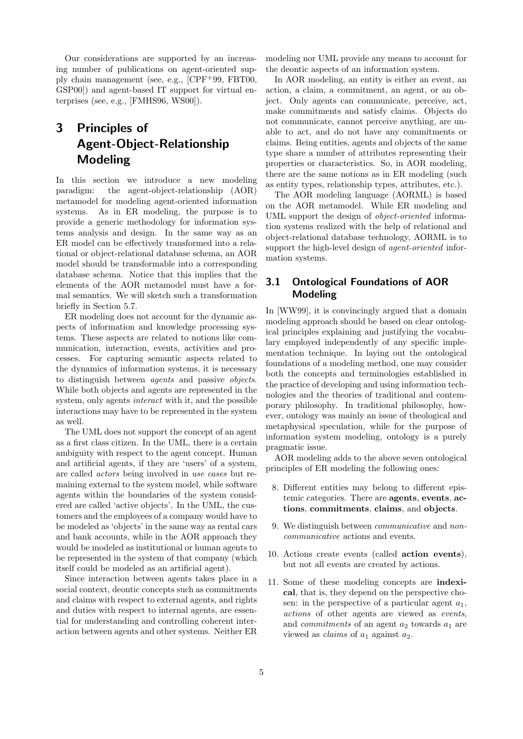Our considerations are supported by an increasing number of publications on agent-oriented supply chain management (see, e.g., [CPF<sup>+</sup>99, FBT00, GSP00]) and agent-based IT support for virtual enterprises (see, e.g., [FMHS96, WS00]).

## 3 Principles of Agent-Object-Relationship Modeling

In this section we introduce a new modeling paradigm: the agent-object-relationship (AOR) metamodel for modeling agent-oriented information systems. As in ER modeling, the purpose is to provide a generic methodology for information systems analysis and design. In the same way as an ER model can be effectively transformed into a relational or object-relational database schema, an AOR model should be transformable into a corresponding database schema. Notice that this implies that the elements of the AOR metamodel must have a formal semantics. We will sketch such a transformation briefly in Section 5.7.

ER modeling does not account for the dynamic aspects of information and knowledge processing systems. These aspects are related to notions like communication, interaction, events, activities and processes. For capturing semantic aspects related to the dynamics of information systems, it is necessary to distinguish between agents and passive objects. While both objects and agents are represented in the system, only agents *interact* with it, and the possible interactions may have to be represented in the system as well.

The UML does not support the concept of an agent as a first class citizen. In the UML, there is a certain ambiguity with respect to the agent concept. Human and artificial agents, if they are 'users' of a system, are called actors being involved in use cases but remaining external to the system model, while software agents within the boundaries of the system considered are called 'active objects'. In the UML, the customers and the employees of a company would have to be modeled as 'objects' in the same way as rental cars and bank accounts, while in the AOR approach they would be modeled as institutional or human agents to be represented in the system of that company (which itself could be modeled as an artificial agent).

Since interaction between agents takes place in a social context, deontic concepts such as commitments and claims with respect to external agents, and rights and duties with respect to internal agents, are essential for understanding and controlling coherent interaction between agents and other systems. Neither ER

modeling nor UML provide any means to account for the deontic aspects of an information system.

In AOR modeling, an entity is either an event, an action, a claim, a commitment, an agent, or an object. Only agents can communicate, perceive, act, make commitments and satisfy claims. Objects do not communicate, cannot perceive anything, are unable to act, and do not have any commitments or claims. Being entities, agents and objects of the same type share a number of attributes representing their properties or characteristics. So, in AOR modeling, there are the same notions as in ER modeling (such as entity types, relationship types, attributes, etc.).

The AOR modeling language (AORML) is based on the AOR metamodel. While ER modeling and UML support the design of object-oriented information systems realized with the help of relational and object-relational database technology, AORML is to support the high-level design of agent-oriented information systems.

### 3.1 Ontological Foundations of AOR Modeling

In [WW99], it is convincingly argued that a domain modeling approach should be based on clear ontological principles explaining and justifying the vocabulary employed independently of any specific implementation technique. In laying out the ontological foundations of a modeling method, one may consider both the concepts and terminologies established in the practice of developing and using information technologies and the theories of traditional and contemporary philosophy. In traditional philosophy, however, ontology was mainly an issue of theological and metaphysical speculation, while for the purpose of information system modeling, ontology is a purely pragmatic issue.

AOR modeling adds to the above seven ontological principles of ER modeling the following ones:

- 8. Different entities may belong to different epistemic categories. There are agents, events, actions, commitments, claims, and objects.
- 9. We distinguish between communicative and noncommunicative actions and events.
- 10. Actions create events (called action events), but not all events are created by actions.
- 11. Some of these modeling concepts are indexical, that is, they depend on the perspective chosen: in the perspective of a particular agent  $a_1$ , actions of other agents are viewed as events, and *commitments* of an agent  $a_2$  towards  $a_1$  are viewed as *claims* of  $a_1$  against  $a_2$ .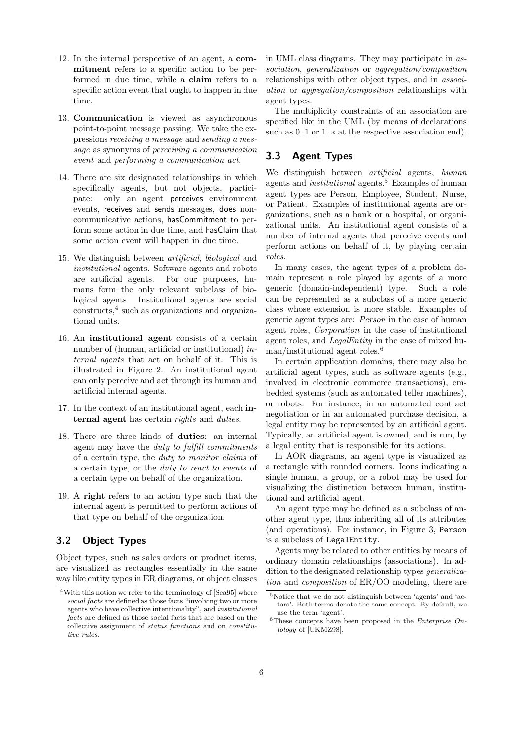- 12. In the internal perspective of an agent, a commitment refers to a specific action to be performed in due time, while a claim refers to a specific action event that ought to happen in due time.
- 13. Communication is viewed as asynchronous point-to-point message passing. We take the expressions receiving a message and sending a message as synonyms of perceiving a communication event and performing a communication act.
- 14. There are six designated relationships in which specifically agents, but not objects, participate: only an agent perceives environment events, receives and sends messages, does noncommunicative actions, hasCommitment to perform some action in due time, and hasClaim that some action event will happen in due time.
- 15. We distinguish between artificial, biological and institutional agents. Software agents and robots are artificial agents. For our purposes, humans form the only relevant subclass of biological agents. Institutional agents are social constructs,<sup>4</sup> such as organizations and organizational units.
- 16. An institutional agent consists of a certain number of (human, artificial or institutional) *in*ternal agents that act on behalf of it. This is illustrated in Figure 2. An institutional agent can only perceive and act through its human and artificial internal agents.
- 17. In the context of an institutional agent, each internal agent has certain rights and duties.
- 18. There are three kinds of duties: an internal agent may have the duty to fulfill commitments of a certain type, the duty to monitor claims of a certain type, or the duty to react to events of a certain type on behalf of the organization.
- 19. A right refers to an action type such that the internal agent is permitted to perform actions of that type on behalf of the organization.

### 3.2 Object Types

Object types, such as sales orders or product items, are visualized as rectangles essentially in the same way like entity types in ER diagrams, or object classes

in UML class diagrams. They may participate in association, generalization or aggregation/composition relationships with other object types, and in association or aggregation/composition relationships with agent types.

The multiplicity constraints of an association are specified like in the UML (by means of declarations such as 0..1 or 1..∗ at the respective association end).

### 3.3 Agent Types

We distinguish between artificial agents, human agents and *institutional* agents.<sup>5</sup> Examples of human agent types are Person, Employee, Student, Nurse, or Patient. Examples of institutional agents are organizations, such as a bank or a hospital, or organizational units. An institutional agent consists of a number of internal agents that perceive events and perform actions on behalf of it, by playing certain roles.

In many cases, the agent types of a problem domain represent a role played by agents of a more generic (domain-independent) type. Such a role can be represented as a subclass of a more generic class whose extension is more stable. Examples of generic agent types are: Person in the case of human agent roles, Corporation in the case of institutional agent roles, and LegalEntity in the case of mixed human/institutional agent roles.<sup>6</sup>

In certain application domains, there may also be artificial agent types, such as software agents (e.g., involved in electronic commerce transactions), embedded systems (such as automated teller machines), or robots. For instance, in an automated contract negotiation or in an automated purchase decision, a legal entity may be represented by an artificial agent. Typically, an artificial agent is owned, and is run, by a legal entity that is responsible for its actions.

In AOR diagrams, an agent type is visualized as a rectangle with rounded corners. Icons indicating a single human, a group, or a robot may be used for visualizing the distinction between human, institutional and artificial agent.

An agent type may be defined as a subclass of another agent type, thus inheriting all of its attributes (and operations). For instance, in Figure 3, Person is a subclass of LegalEntity.

Agents may be related to other entities by means of ordinary domain relationships (associations). In addition to the designated relationship types generalization and composition of ER/OO modeling, there are

<sup>&</sup>lt;sup>4</sup>With this notion we refer to the terminology of [Sea95] where social facts are defined as those facts "involving two or more agents who have collective intentionality", and institutional facts are defined as those social facts that are based on the collective assignment of status functions and on constitutive rules.

<sup>5</sup>Notice that we do not distinguish between 'agents' and 'actors'. Both terms denote the same concept. By default, we use the term 'agent'.

 $6$ These concepts have been proposed in the *Enterprise On*tology of [UKMZ98].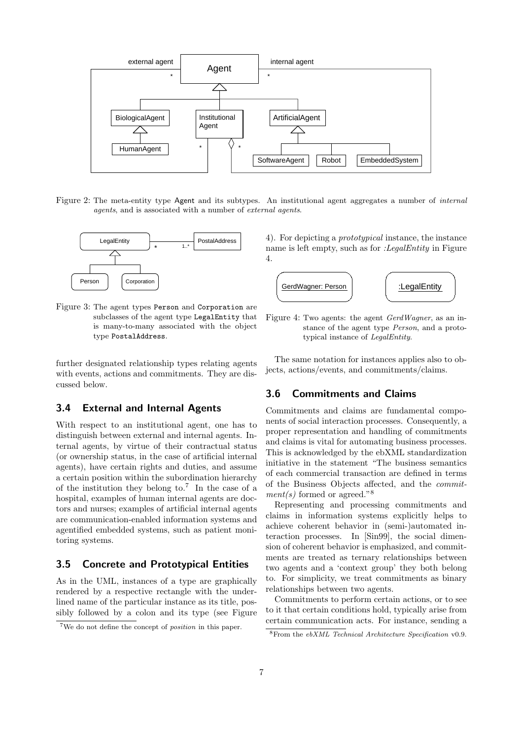

Figure 2: The meta-entity type Agent and its subtypes. An institutional agent aggregates a number of *internal* agents, and is associated with a number of external agents.



Figure 3: The agent types Person and Corporation are subclasses of the agent type LegalEntity that is many-to-many associated with the object type PostalAddress.

further designated relationship types relating agents with events, actions and commitments. They are discussed below.

### 3.4 External and Internal Agents

With respect to an institutional agent, one has to distinguish between external and internal agents. Internal agents, by virtue of their contractual status (or ownership status, in the case of artificial internal agents), have certain rights and duties, and assume a certain position within the subordination hierarchy of the institution they belong to.<sup>7</sup> In the case of a hospital, examples of human internal agents are doctors and nurses; examples of artificial internal agents are communication-enabled information systems and agentified embedded systems, such as patient monitoring systems.

### 3.5 Concrete and Prototypical Entities

As in the UML, instances of a type are graphically rendered by a respective rectangle with the underlined name of the particular instance as its title, possibly followed by a colon and its type (see Figure 4). For depicting a prototypical instance, the instance name is left empty, such as for :LegalEntity in Figure 4.



Figure 4: Two agents: the agent *GerdWagner*, as an instance of the agent type Person, and a prototypical instance of LegalEntity.

The same notation for instances applies also to objects, actions/events, and commitments/claims.

### 3.6 Commitments and Claims

Commitments and claims are fundamental components of social interaction processes. Consequently, a proper representation and handling of commitments and claims is vital for automating business processes. This is acknowledged by the ebXML standardization initiative in the statement "The business semantics of each commercial transaction are defined in terms of the Business Objects affected, and the commit $ment(s)$  formed or agreed."<sup>8</sup>

Representing and processing commitments and claims in information systems explicitly helps to achieve coherent behavior in (semi-)automated interaction processes. In [Sin99], the social dimension of coherent behavior is emphasized, and commitments are treated as ternary relationships between two agents and a 'context group' they both belong to. For simplicity, we treat commitments as binary relationships between two agents.

Commitments to perform certain actions, or to see to it that certain conditions hold, typically arise from certain communication acts. For instance, sending a

<sup>7</sup>We do not define the concept of position in this paper.

 $8$ From the  $ebXML$  Technical Architecture Specification v0.9.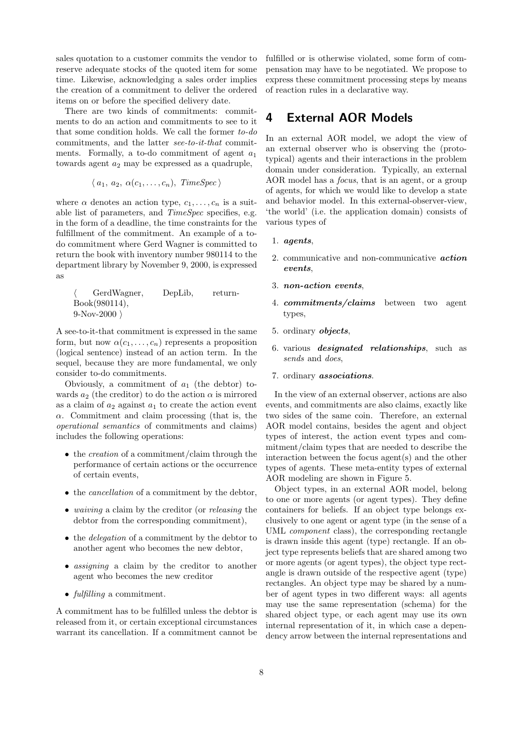sales quotation to a customer commits the vendor to reserve adequate stocks of the quoted item for some time. Likewise, acknowledging a sales order implies the creation of a commitment to deliver the ordered items on or before the specified delivery date.

There are two kinds of commitments: commitments to do an action and commitments to see to it that some condition holds. We call the former to-do commitments, and the latter see-to-it-that commitments. Formally, a to-do commitment of agent  $a_1$ towards agent  $a_2$  may be expressed as a quadruple,

$$
\langle a_1, a_2, \alpha(c_1, \ldots, c_n), \, \text{TimeSpec} \, \rangle
$$

where  $\alpha$  denotes an action type,  $c_1, \ldots, c_n$  is a suitable list of parameters, and TimeSpec specifies, e.g. in the form of a deadline, the time constraints for the fulfillment of the commitment. An example of a todo commitment where Gerd Wagner is committed to return the book with inventory number 980114 to the department library by November 9, 2000, is expressed as

h GerdWagner, DepLib, return-Book(980114),  $9-Nov-2000$ 

A see-to-it-that commitment is expressed in the same form, but now  $\alpha(c_1, \ldots, c_n)$  represents a proposition (logical sentence) instead of an action term. In the sequel, because they are more fundamental, we only consider to-do commitments.

Obviously, a commitment of  $a_1$  (the debtor) towards  $a_2$  (the creditor) to do the action  $\alpha$  is mirrored as a claim of  $a_2$  against  $a_1$  to create the action event  $\alpha$ . Commitment and claim processing (that is, the operational semantics of commitments and claims) includes the following operations:

- the *creation* of a commitment/claim through the performance of certain actions or the occurrence of certain events,
- the *cancellation* of a commitment by the debtor,
- waiving a claim by the creditor (or releasing the debtor from the corresponding commitment),
- the *delegation* of a commitment by the debtor to another agent who becomes the new debtor,
- *assigning* a claim by the creditor to another agent who becomes the new creditor
- $\bullet$  *fulfilling* a commitment.

A commitment has to be fulfilled unless the debtor is released from it, or certain exceptional circumstances warrant its cancellation. If a commitment cannot be fulfilled or is otherwise violated, some form of compensation may have to be negotiated. We propose to express these commitment processing steps by means of reaction rules in a declarative way.

### 4 External AOR Models

In an external AOR model, we adopt the view of an external observer who is observing the (prototypical) agents and their interactions in the problem domain under consideration. Typically, an external AOR model has a *focus*, that is an agent, or a group of agents, for which we would like to develop a state and behavior model. In this external-observer-view, 'the world' (i.e. the application domain) consists of various types of

- 1. agents,
- 2. communicative and non-communicative **action** events,
- 3. non-action events,
- 4. *commitments/claims* between two agent types,
- 5. ordinary objects,
- 6. various designated relationships, such as sends and does,
- 7. ordinary associations.

In the view of an external observer, actions are also events, and commitments are also claims, exactly like two sides of the same coin. Therefore, an external AOR model contains, besides the agent and object types of interest, the action event types and commitment/claim types that are needed to describe the interaction between the focus agent(s) and the other types of agents. These meta-entity types of external AOR modeling are shown in Figure 5.

Object types, in an external AOR model, belong to one or more agents (or agent types). They define containers for beliefs. If an object type belongs exclusively to one agent or agent type (in the sense of a UML *component* class), the corresponding rectangle is drawn inside this agent (type) rectangle. If an object type represents beliefs that are shared among two or more agents (or agent types), the object type rectangle is drawn outside of the respective agent (type) rectangles. An object type may be shared by a number of agent types in two different ways: all agents may use the same representation (schema) for the shared object type, or each agent may use its own internal representation of it, in which case a dependency arrow between the internal representations and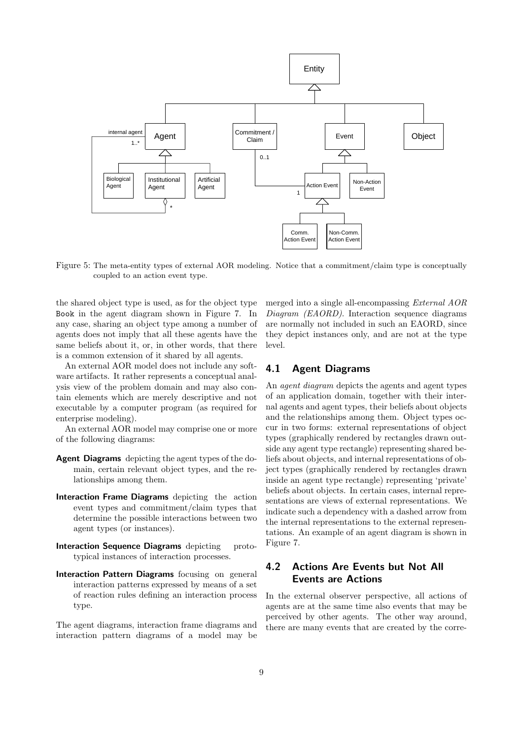

Figure 5: The meta-entity types of external AOR modeling. Notice that a commitment/claim type is conceptually coupled to an action event type.

the shared object type is used, as for the object type Book in the agent diagram shown in Figure 7. In any case, sharing an object type among a number of agents does not imply that all these agents have the same beliefs about it, or, in other words, that there is a common extension of it shared by all agents.

An external AOR model does not include any software artifacts. It rather represents a conceptual analysis view of the problem domain and may also contain elements which are merely descriptive and not executable by a computer program (as required for enterprise modeling).

An external AOR model may comprise one or more of the following diagrams:

- Agent Diagrams depicting the agent types of the domain, certain relevant object types, and the relationships among them.
- Interaction Frame Diagrams depicting the action event types and commitment/claim types that determine the possible interactions between two agent types (or instances).
- Interaction Sequence Diagrams depicting prototypical instances of interaction processes.
- Interaction Pattern Diagrams focusing on general interaction patterns expressed by means of a set of reaction rules defining an interaction process type.

The agent diagrams, interaction frame diagrams and interaction pattern diagrams of a model may be merged into a single all-encompassing External AOR Diagram (EAORD). Interaction sequence diagrams are normally not included in such an EAORD, since they depict instances only, and are not at the type level.

#### 4.1 Agent Diagrams

An agent diagram depicts the agents and agent types of an application domain, together with their internal agents and agent types, their beliefs about objects and the relationships among them. Object types occur in two forms: external representations of object types (graphically rendered by rectangles drawn outside any agent type rectangle) representing shared beliefs about objects, and internal representations of object types (graphically rendered by rectangles drawn inside an agent type rectangle) representing 'private' beliefs about objects. In certain cases, internal representations are views of external representations. We indicate such a dependency with a dashed arrow from the internal representations to the external representations. An example of an agent diagram is shown in Figure 7.

### 4.2 Actions Are Events but Not All Events are Actions

In the external observer perspective, all actions of agents are at the same time also events that may be perceived by other agents. The other way around, there are many events that are created by the corre-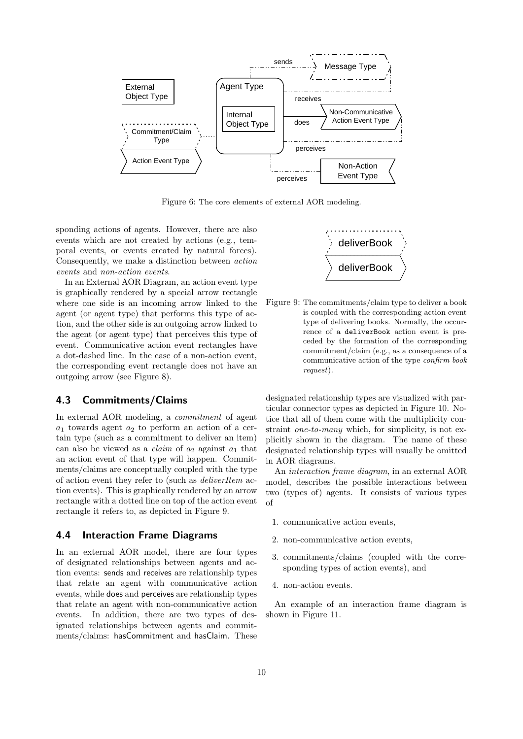

Figure 6: The core elements of external AOR modeling.

sponding actions of agents. However, there are also events which are not created by actions (e.g., temporal events, or events created by natural forces). Consequently, we make a distinction between action events and non-action events.

In an External AOR Diagram, an action event type is graphically rendered by a special arrow rectangle where one side is an incoming arrow linked to the agent (or agent type) that performs this type of action, and the other side is an outgoing arrow linked to the agent (or agent type) that perceives this type of event. Communicative action event rectangles have a dot-dashed line. In the case of a non-action event, the corresponding event rectangle does not have an outgoing arrow (see Figure 8).

### 4.3 Commitments/Claims

In external AOR modeling, a commitment of agent  $a_1$  towards agent  $a_2$  to perform an action of a certain type (such as a commitment to deliver an item) can also be viewed as a *claim* of  $a_2$  against  $a_1$  that an action event of that type will happen. Commitments/claims are conceptually coupled with the type of action event they refer to (such as deliverItem action events). This is graphically rendered by an arrow rectangle with a dotted line on top of the action event rectangle it refers to, as depicted in Figure 9.

### 4.4 Interaction Frame Diagrams

In an external AOR model, there are four types of designated relationships between agents and action events: sends and receives are relationship types that relate an agent with communicative action events, while does and perceives are relationship types that relate an agent with non-communicative action events. In addition, there are two types of designated relationships between agents and commitments/claims: hasCommitment and hasClaim. These



Figure 9: The commitments/claim type to deliver a book is coupled with the corresponding action event type of delivering books. Normally, the occurrence of a deliverBook action event is preceded by the formation of the corresponding commitment/claim (e.g., as a consequence of a communicative action of the type confirm book request).

designated relationship types are visualized with particular connector types as depicted in Figure 10. Notice that all of them come with the multiplicity constraint one-to-many which, for simplicity, is not explicitly shown in the diagram. The name of these designated relationship types will usually be omitted in AOR diagrams.

An interaction frame diagram, in an external AOR model, describes the possible interactions between two (types of) agents. It consists of various types of

- 1. communicative action events,
- 2. non-communicative action events,
- 3. commitments/claims (coupled with the corresponding types of action events), and
- 4. non-action events.

An example of an interaction frame diagram is shown in Figure 11.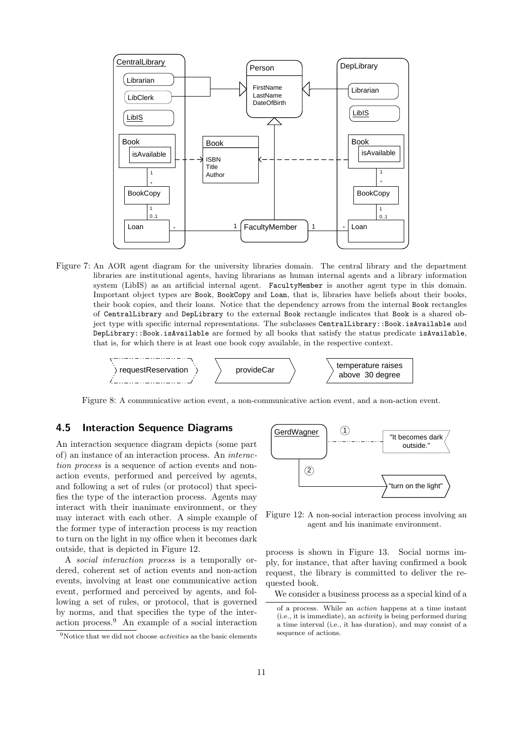

Figure 7: An AOR agent diagram for the university libraries domain. The central library and the department libraries are institutional agents, having librarians as human internal agents and a library information system (LibIS) as an artificial internal agent. FacultyMember is another agent type in this domain. Important object types are Book, BookCopy and Loan, that is, libraries have beliefs about their books, their book copies, and their loans. Notice that the dependency arrows from the internal Book rectangles of CentralLibrary and DepLibrary to the external Book rectangle indicates that Book is a shared object type with specific internal representations. The subclasses CentralLibrary::Book.isAvailable and DepLibrary::Book.isAvailable are formed by all books that satisfy the status predicate isAvailable, that is, for which there is at least one book copy available, in the respective context.



Figure 8: A communicative action event, a non-communicative action event, and a non-action event.

### 4.5 Interaction Sequence Diagrams

An interaction sequence diagram depicts (some part of) an instance of an interaction process. An interaction process is a sequence of action events and nonaction events, performed and perceived by agents, and following a set of rules (or protocol) that specifies the type of the interaction process. Agents may interact with their inanimate environment, or they may interact with each other. A simple example of the former type of interaction process is my reaction to turn on the light in my office when it becomes dark outside, that is depicted in Figure 12.

A social interaction process is a temporally ordered, coherent set of action events and non-action events, involving at least one communicative action event, performed and perceived by agents, and following a set of rules, or protocol, that is governed by norms, and that specifies the type of the interaction process.<sup>9</sup> An example of a social interaction





Figure 12: A non-social interaction process involving an agent and his inanimate environment.

process is shown in Figure 13. Social norms imply, for instance, that after having confirmed a book request, the library is committed to deliver the requested book.

We consider a business process as a special kind of a

of a process. While an action happens at a time instant (i.e., it is immediate), an activity is being performed during a time interval (i.e., it has duration), and may consist of a sequence of actions.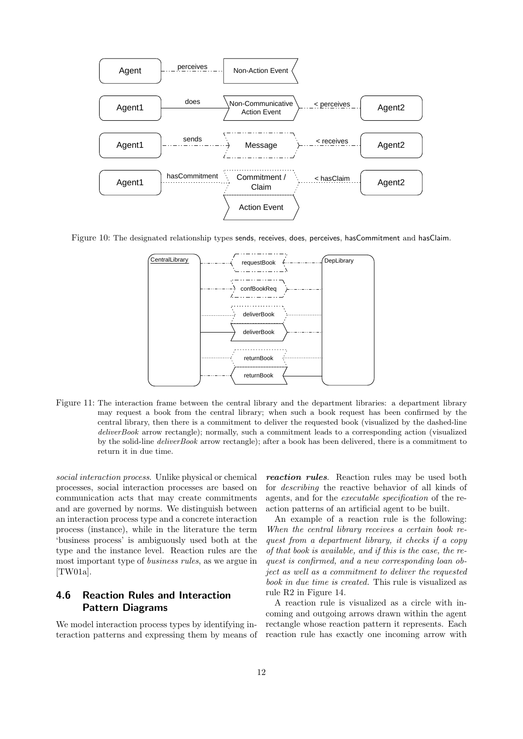

Figure 10: The designated relationship types sends, receives, does, perceives, hasCommitment and hasClaim.



Figure 11: The interaction frame between the central library and the department libraries: a department library may request a book from the central library; when such a book request has been confirmed by the central library, then there is a commitment to deliver the requested book (visualized by the dashed-line deliverBook arrow rectangle); normally, such a commitment leads to a corresponding action (visualized by the solid-line *deliverBook* arrow rectangle); after a book has been delivered, there is a commitment to return it in due time.

social interaction process. Unlike physical or chemical processes, social interaction processes are based on communication acts that may create commitments and are governed by norms. We distinguish between an interaction process type and a concrete interaction process (instance), while in the literature the term 'business process' is ambiguously used both at the type and the instance level. Reaction rules are the most important type of business rules, as we argue in [TW01a].

### 4.6 Reaction Rules and Interaction Pattern Diagrams

We model interaction process types by identifying interaction patterns and expressing them by means of reaction rules. Reaction rules may be used both for describing the reactive behavior of all kinds of agents, and for the executable specification of the reaction patterns of an artificial agent to be built.

An example of a reaction rule is the following: When the central library receives a certain book request from a department library, it checks if a copy of that book is available, and if this is the case, the request is confirmed, and a new corresponding loan object as well as a commitment to deliver the requested book in due time is created. This rule is visualized as rule R2 in Figure 14.

A reaction rule is visualized as a circle with incoming and outgoing arrows drawn within the agent rectangle whose reaction pattern it represents. Each reaction rule has exactly one incoming arrow with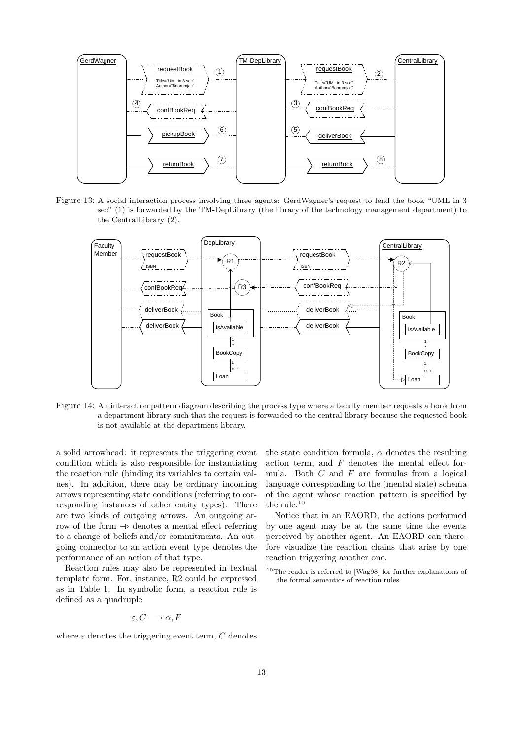

Figure 13: A social interaction process involving three agents: GerdWagner's request to lend the book "UML in 3 sec" (1) is forwarded by the TM-DepLibrary (the library of the technology management department) to the CentralLibrary (2).



Figure 14: An interaction pattern diagram describing the process type where a faculty member requests a book from a department library such that the request is forwarded to the central library because the requested book is not available at the department library.

a solid arrowhead: it represents the triggering event condition which is also responsible for instantiating the reaction rule (binding its variables to certain values). In addition, there may be ordinary incoming arrows representing state conditions (referring to corresponding instances of other entity types). There are two kinds of outgoing arrows. An outgoing arrow of the form  $\rightarrow$  denotes a mental effect referring to a change of beliefs and/or commitments. An outgoing connector to an action event type denotes the performance of an action of that type.

Reaction rules may also be represented in textual template form. For, instance, R2 could be expressed as in Table 1. In symbolic form, a reaction rule is defined as a quadruple

$$
\varepsilon, C \longrightarrow \alpha, F
$$

where  $\varepsilon$  denotes the triggering event term, C denotes

the state condition formula,  $\alpha$  denotes the resulting action term, and  $F$  denotes the mental effect formula. Both  $C$  and  $F$  are formulas from a logical language corresponding to the (mental state) schema of the agent whose reaction pattern is specified by the rule.<sup>10</sup>

Notice that in an EAORD, the actions performed by one agent may be at the same time the events perceived by another agent. An EAORD can therefore visualize the reaction chains that arise by one reaction triggering another one.

 $10$ The reader is referred to [Wag98] for further explanations of the formal semantics of reaction rules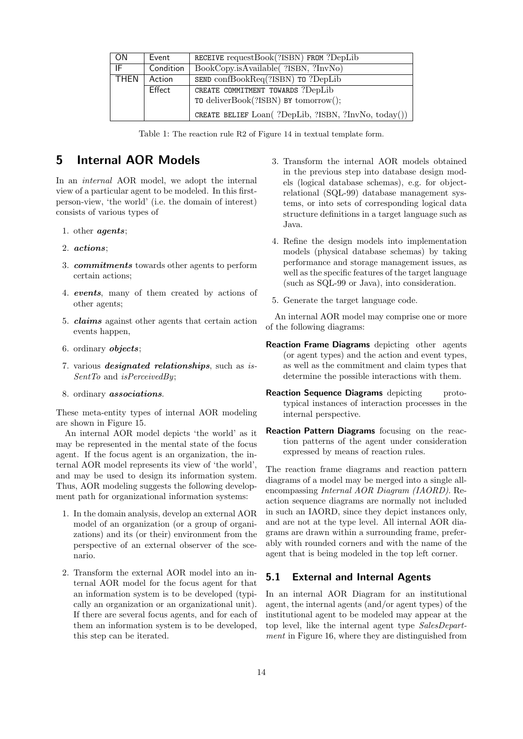| ON          | Event     | RECEIVE requestBook(?ISBN) FROM ?DepLib                               |
|-------------|-----------|-----------------------------------------------------------------------|
| IF          | Condition | BookCopy.isAvailable(?ISBN, ?InvNo)                                   |
| <b>THEN</b> | Action    | SEND confBookReq(?ISBN) TO ?DepLib                                    |
|             | Effect    | CREATE COMMITMENT TOWARDS ?DepLib                                     |
|             |           | TO deliverBook(?ISBN) BY tomorrow();                                  |
|             |           | CREATE BELIEF $\text{Loan}($ ?DepLib, ?ISBN, ?InvNo, $\text{today}()$ |

Table 1: The reaction rule R2 of Figure 14 in textual template form.

## 5 Internal AOR Models

In an internal AOR model, we adopt the internal view of a particular agent to be modeled. In this firstperson-view, 'the world' (i.e. the domain of interest) consists of various types of

- 1. other agents;
- 2. actions;
- 3. commitments towards other agents to perform certain actions;
- 4. events, many of them created by actions of other agents;
- 5. claims against other agents that certain action events happen,
- 6. ordinary objects;
- 7. various designated relationships, such as is-SentTo and isPerceivedBy;
- 8. ordinary associations.

These meta-entity types of internal AOR modeling are shown in Figure 15.

An internal AOR model depicts 'the world' as it may be represented in the mental state of the focus agent. If the focus agent is an organization, the internal AOR model represents its view of 'the world', and may be used to design its information system. Thus, AOR modeling suggests the following development path for organizational information systems:

- 1. In the domain analysis, develop an external AOR model of an organization (or a group of organizations) and its (or their) environment from the perspective of an external observer of the scenario.
- 2. Transform the external AOR model into an internal AOR model for the focus agent for that an information system is to be developed (typically an organization or an organizational unit). If there are several focus agents, and for each of them an information system is to be developed, this step can be iterated.
- 3. Transform the internal AOR models obtained in the previous step into database design models (logical database schemas), e.g. for objectrelational (SQL-99) database management systems, or into sets of corresponding logical data structure definitions in a target language such as Java.
- 4. Refine the design models into implementation models (physical database schemas) by taking performance and storage management issues, as well as the specific features of the target language (such as SQL-99 or Java), into consideration.
- 5. Generate the target language code.

An internal AOR model may comprise one or more of the following diagrams:

- Reaction Frame Diagrams depicting other agents (or agent types) and the action and event types, as well as the commitment and claim types that determine the possible interactions with them.
- Reaction Sequence Diagrams depicting prototypical instances of interaction processes in the internal perspective.
- Reaction Pattern Diagrams focusing on the reaction patterns of the agent under consideration expressed by means of reaction rules.

The reaction frame diagrams and reaction pattern diagrams of a model may be merged into a single allencompassing Internal AOR Diagram (IAORD). Reaction sequence diagrams are normally not included in such an IAORD, since they depict instances only, and are not at the type level. All internal AOR diagrams are drawn within a surrounding frame, preferably with rounded corners and with the name of the agent that is being modeled in the top left corner.

### 5.1 External and Internal Agents

In an internal AOR Diagram for an institutional agent, the internal agents (and/or agent types) of the institutional agent to be modeled may appear at the top level, like the internal agent type SalesDepartment in Figure 16, where they are distinguished from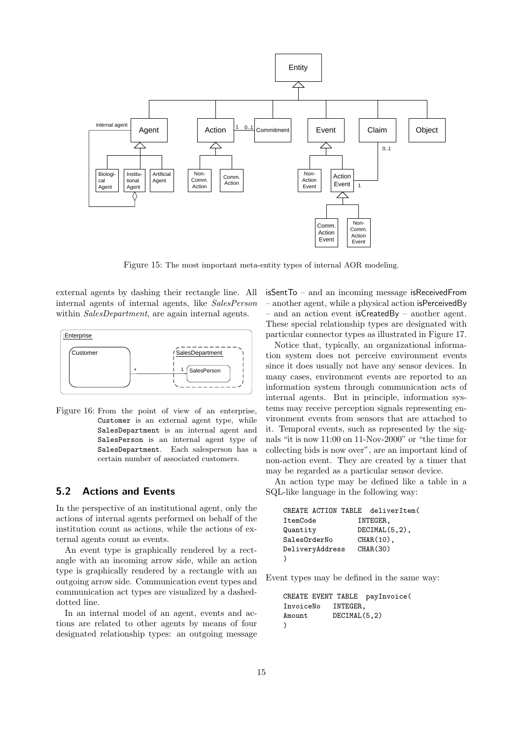

Figure 15: The most important meta-entity types of internal AOR modeling.

external agents by dashing their rectangle line. All internal agents of internal agents, like SalesPerson within SalesDepartment, are again internal agents.



Figure 16: From the point of view of an enterprise, Customer is an external agent type, while SalesDepartment is an internal agent and SalesPerson is an internal agent type of SalesDepartment. Each salesperson has a certain number of associated customers.

### 5.2 Actions and Events

In the perspective of an institutional agent, only the actions of internal agents performed on behalf of the institution count as actions, while the actions of external agents count as events.

An event type is graphically rendered by a rectangle with an incoming arrow side, while an action type is graphically rendered by a rectangle with an outgoing arrow side. Communication event types and communication act types are visualized by a dasheddotted line.

In an internal model of an agent, events and actions are related to other agents by means of four designated relationship types: an outgoing message isSentTo – and an incoming message isReceivedFrom – another agent, while a physical action isPerceivedBy – and an action event isCreatedBy – another agent. These special relationship types are designated with particular connector types as illustrated in Figure 17.

Notice that, typically, an organizational information system does not perceive environment events since it does usually not have any sensor devices. In many cases, environment events are reported to an information system through communication acts of internal agents. But in principle, information systems may receive perception signals representing environment events from sensors that are attached to it. Temporal events, such as represented by the signals "it is now 11:00 on 11-Nov-2000" or "the time for collecting bids is now over", are an important kind of non-action event. They are created by a timer that may be regarded as a particular sensor device.

An action type may be defined like a table in a SQL-like language in the following way:

|                 | CREATE ACTION TABLE deliverItem( |
|-----------------|----------------------------------|
| ItemCode        | INTEGER,                         |
| Quantity        | $DECIMAL(5, 2)$ ,                |
| SalesOrderNo    | $CHAR(10)$ ,                     |
| DeliveryAddress | CHAR(30)                         |
|                 |                                  |

Event types may be defined in the same way:

```
CREATE EVENT TABLE payInvoice(
InvoiceNo INTEGER,
Amount DECIMAL(5,2)
\lambda
```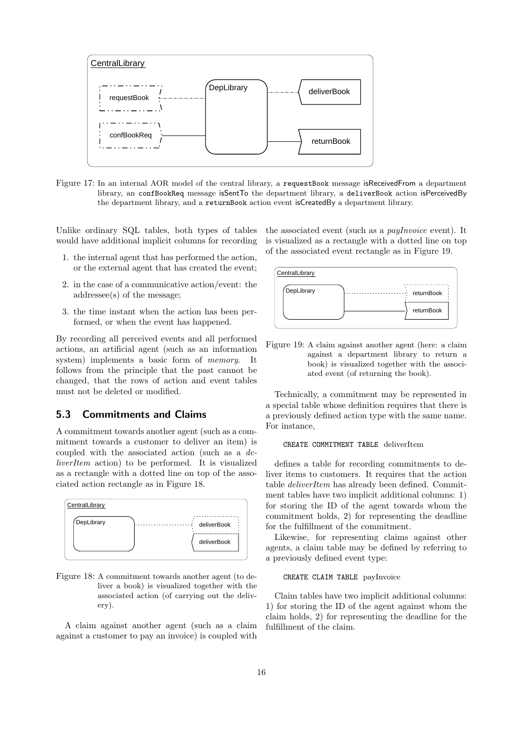

Figure 17: In an internal AOR model of the central library, a requestBook message isReceivedFrom a department library, an confBookReq message isSentTo the department library, a deliverBook action isPerceivedBy the department library, and a returnBook action event isCreatedBy a department library.

Unlike ordinary SQL tables, both types of tables would have additional implicit columns for recording

- 1. the internal agent that has performed the action, or the external agent that has created the event;
- 2. in the case of a communicative action/event: the addressee(s) of the message;
- 3. the time instant when the action has been performed, or when the event has happened.

By recording all perceived events and all performed actions, an artificial agent (such as an information system) implements a basic form of *memory*. It follows from the principle that the past cannot be changed, that the rows of action and event tables must not be deleted or modified.

### 5.3 Commitments and Claims

A commitment towards another agent (such as a commitment towards a customer to deliver an item) is coupled with the associated action (such as a deliverItem action) to be performed. It is visualized as a rectangle with a dotted line on top of the associated action rectangle as in Figure 18.



Figure 18: A commitment towards another agent (to deliver a book) is visualized together with the associated action (of carrying out the delivery).

A claim against another agent (such as a claim against a customer to pay an invoice) is coupled with

the associated event (such as a payInvoice event). It is visualized as a rectangle with a dotted line on top of the associated event rectangle as in Figure 19.



Figure 19: A claim against another agent (here: a claim against a department library to return a book) is visualized together with the associated event (of returning the book).

Technically, a commitment may be represented in a special table whose definition requires that there is a previously defined action type with the same name. For instance,

#### CREATE COMMITMENT TABLE deliverItem

defines a table for recording commitments to deliver items to customers. It requires that the action table *deliverItem* has already been defined. Commitment tables have two implicit additional columns: 1) for storing the ID of the agent towards whom the commitment holds, 2) for representing the deadline for the fulfillment of the commitment.

Likewise, for representing claims against other agents, a claim table may be defined by referring to a previously defined event type:

#### CREATE CLAIM TABLE payInvoice

Claim tables have two implicit additional columns: 1) for storing the ID of the agent against whom the claim holds, 2) for representing the deadline for the fulfillment of the claim.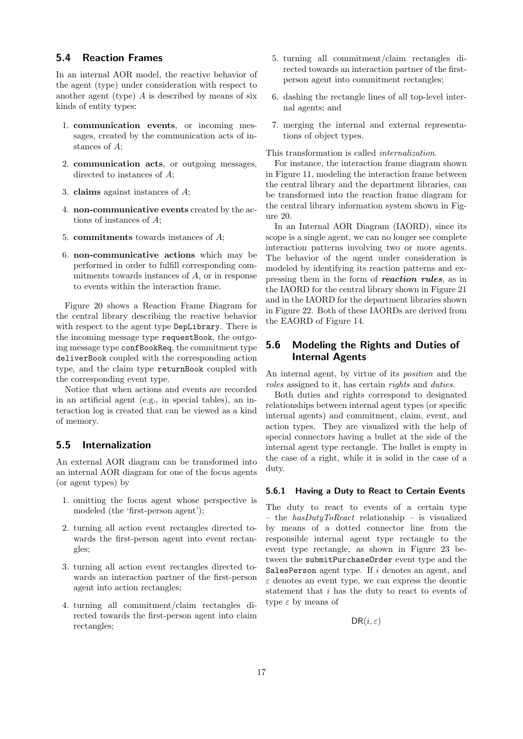#### 5.4 Reaction Frames

In an internal AOR model, the reactive behavior of the agent (type) under consideration with respect to another agent (type) A is described by means of six kinds of entity types:

- 1. communication events, or incoming messages, created by the communication acts of instances of A;
- 2. communication acts, or outgoing messages, directed to instances of A;
- 3. claims against instances of A;
- 4. non-communicative events created by the actions of instances of A;
- 5. commitments towards instances of A;
- 6. non-communicative actions which may be performed in order to fulfill corresponding commitments towards instances of A, or in response to events within the interaction frame.

Figure 20 shows a Reaction Frame Diagram for the central library describing the reactive behavior with respect to the agent type DepLibrary. There is the incoming message type requestBook, the outgoing message type confBookReq, the commitment type deliverBook coupled with the corresponding action type, and the claim type returnBook coupled with the corresponding event type.

Notice that when actions and events are recorded in an artificial agent (e.g., in special tables), an interaction log is created that can be viewed as a kind of memory.

#### 5.5 Internalization

An external AOR diagram can be transformed into an internal AOR diagram for one of the focus agents (or agent types) by

- 1. omitting the focus agent whose perspective is modeled (the 'first-person agent');
- 2. turning all action event rectangles directed towards the first-person agent into event rectangles;
- 3. turning all action event rectangles directed towards an interaction partner of the first-person agent into action rectangles;
- 4. turning all commitment/claim rectangles directed towards the first-person agent into claim rectangles;
- 5. turning all commitment/claim rectangles directed towards an interaction partner of the firstperson agent into commitment rectangles;
- 6. dashing the rectangle lines of all top-level internal agents; and
- 7. merging the internal and external representations of object types.

This transformation is called internalization.

For instance, the interaction frame diagram shown in Figure 11, modeling the interaction frame between the central library and the department libraries, can be transformed into the reaction frame diagram for the central library information system shown in Figure 20.

In an Internal AOR Diagram (IAORD), since its scope is a single agent, we can no longer see complete interaction patterns involving two or more agents. The behavior of the agent under consideration is modeled by identifying its reaction patterns and expressing them in the form of reaction rules, as in the IAORD for the central library shown in Figure 21 and in the IAORD for the department libraries shown in Figure 22. Both of these IAORDs are derived from the EAORD of Figure 14.

### 5.6 Modeling the Rights and Duties of Internal Agents

An internal agent, by virtue of its position and the roles assigned to it, has certain *rights* and *duties*.

Both duties and rights correspond to designated relationships between internal agent types (or specific internal agents) and commitment, claim, event, and action types. They are visualized with the help of special connectors having a bullet at the side of the internal agent type rectangle. The bullet is empty in the case of a right, while it is solid in the case of a duty.

#### 5.6.1 Having a Duty to React to Certain Events

The duty to react to events of a certain type – the  $hasDutyToReach$  relationship – is visualized by means of a dotted connector line from the responsible internal agent type rectangle to the event type rectangle, as shown in Figure 23 between the submitPurchaseOrder event type and the SalesPerson agent type. If i denotes an agent, and  $\varepsilon$  denotes an event type, we can express the deontic statement that i has the duty to react to events of type  $\varepsilon$  by means of

 $DR(i, \varepsilon)$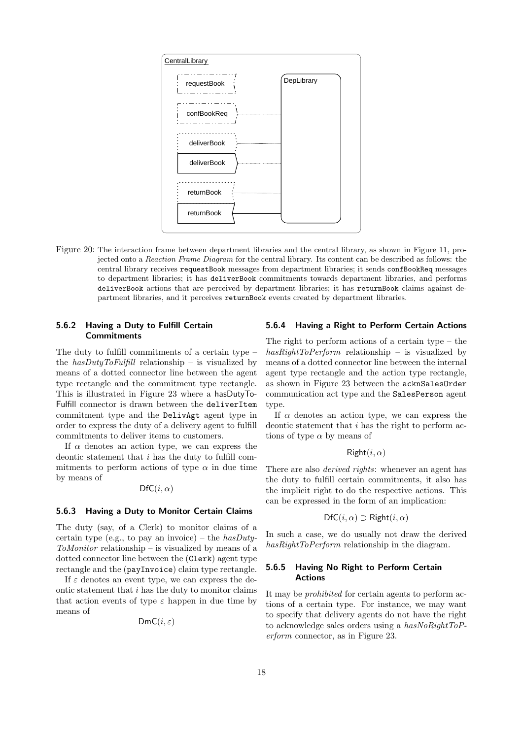

Figure 20: The interaction frame between department libraries and the central library, as shown in Figure 11, projected onto a Reaction Frame Diagram for the central library. Its content can be described as follows: the central library receives requestBook messages from department libraries; it sends confBookReq messages to department libraries; it has deliverBook commitments towards department libraries, and performs deliverBook actions that are perceived by department libraries; it has returnBook claims against department libraries, and it perceives returnBook events created by department libraries.

#### 5.6.2 Having a Duty to Fulfill Certain **Commitments**

The duty to fulfill commitments of a certain type – the  $hasDutyToFullfill$  relationship – is visualized by means of a dotted connector line between the agent type rectangle and the commitment type rectangle. This is illustrated in Figure 23 where a hasDutyTo-Fulfill connector is drawn between the deliverItem commitment type and the DelivAgt agent type in order to express the duty of a delivery agent to fulfill commitments to deliver items to customers.

If  $\alpha$  denotes an action type, we can express the deontic statement that i has the duty to fulfill commitments to perform actions of type  $\alpha$  in due time by means of

 $DfC(i,\alpha)$ 

#### 5.6.3 Having a Duty to Monitor Certain Claims

The duty (say, of a Clerk) to monitor claims of a certain type (e.g., to pay an invoice) – the  $hasDuty$ -ToMonitor relationship – is visualized by means of a dotted connector line between the (Clerk) agent type rectangle and the (payInvoice) claim type rectangle.

If  $\varepsilon$  denotes an event type, we can express the deontic statement that  $i$  has the duty to monitor claims that action events of type  $\varepsilon$  happen in due time by means of

$$
\mathsf{DmC}(i,\varepsilon)
$$

#### 5.6.4 Having a Right to Perform Certain Actions

The right to perform actions of a certain type – the  $hasRight ToPerform$  relationship – is visualized by means of a dotted connector line between the internal agent type rectangle and the action type rectangle, as shown in Figure 23 between the acknSalesOrder communication act type and the SalesPerson agent type.

If  $\alpha$  denotes an action type, we can express the deontic statement that i has the right to perform actions of type  $\alpha$  by means of

$$
\mathsf{Right}(i,\alpha)
$$

There are also *derived rights*: whenever an agent has the duty to fulfill certain commitments, it also has the implicit right to do the respective actions. This can be expressed in the form of an implication:

$$
\mathsf{DfC}(i,\alpha) \supset \mathsf{Right}(i,\alpha)
$$

In such a case, we do usually not draw the derived hasRightToPerform relationship in the diagram.

#### 5.6.5 Having No Right to Perform Certain Actions

It may be prohibited for certain agents to perform actions of a certain type. For instance, we may want to specify that delivery agents do not have the right to acknowledge sales orders using a hasNoRightToPerform connector, as in Figure 23.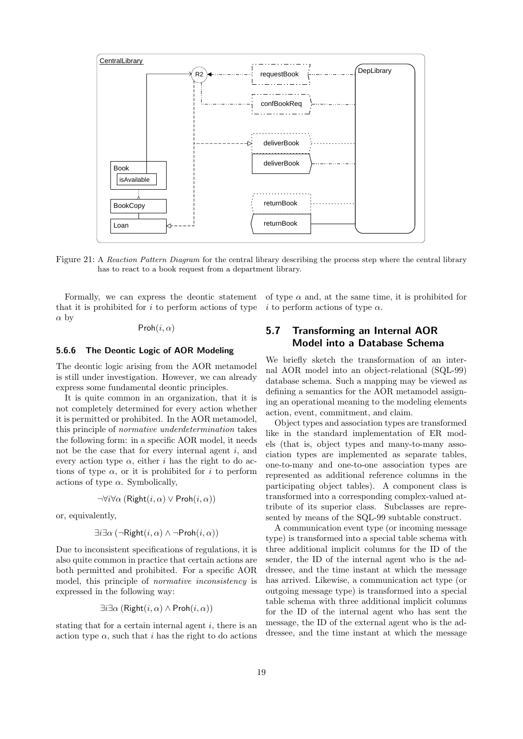

Figure 21: A Reaction Pattern Diagram for the central library describing the process step where the central library has to react to a book request from a department library.

that it is prohibited for  $i$  to perform actions of type  $\alpha$  by

Proh $(i, \alpha)$ 

#### 5.6.6 The Deontic Logic of AOR Modeling

The deontic logic arising from the AOR metamodel is still under investigation. However, we can already express some fundamental deontic principles.

It is quite common in an organization, that it is not completely determined for every action whether it is permitted or prohibited. In the AOR metamodel, this principle of normative underdetermination takes the following form: in a specific AOR model, it needs not be the case that for every internal agent  $i$ , and every action type  $\alpha$ , either *i* has the right to do actions of type  $\alpha$ , or it is prohibited for i to perform actions of type  $\alpha$ . Symbolically,

$$
\neg \forall i \forall \alpha \ (\mathsf{Right}(i, \alpha) \lor \mathsf{Prob}(i, \alpha))
$$

or, equivalently,

$$
\exists i \exists \alpha (\neg Right(i, \alpha) \land \neg Prob(i, \alpha))
$$

Due to inconsistent specifications of regulations, it is also quite common in practice that certain actions are both permitted and prohibited. For a specific AOR model, this principle of normative inconsistency is expressed in the following way:

$$
\exists i \exists \alpha \ (\mathsf{Right}(i, \alpha) \land \mathsf{Prob}(i, \alpha))
$$

stating that for a certain internal agent  $i$ , there is an action type  $\alpha$ , such that i has the right to do actions

Formally, we can express the deontic statement of type  $\alpha$  and, at the same time, it is prohibited for *i* to perform actions of type  $\alpha$ .

### 5.7 Transforming an Internal AOR Model into a Database Schema

We briefly sketch the transformation of an internal AOR model into an object-relational (SQL-99) database schema. Such a mapping may be viewed as defining a semantics for the AOR metamodel assigning an operational meaning to the modeling elements action, event, commitment, and claim.

Object types and association types are transformed like in the standard implementation of ER models (that is, object types and many-to-many association types are implemented as separate tables, one-to-many and one-to-one association types are represented as additional reference columns in the participating object tables). A component class is transformed into a corresponding complex-valued attribute of its superior class. Subclasses are represented by means of the SQL-99 subtable construct.

A communication event type (or incoming message type) is transformed into a special table schema with three additional implicit columns for the ID of the sender, the ID of the internal agent who is the addressee, and the time instant at which the message has arrived. Likewise, a communication act type (or outgoing message type) is transformed into a special table schema with three additional implicit columns for the ID of the internal agent who has sent the message, the ID of the external agent who is the addressee, and the time instant at which the message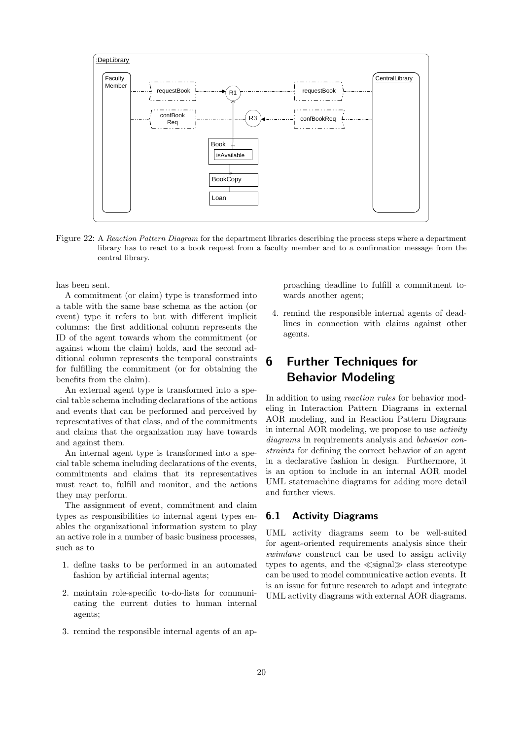

Figure 22: A Reaction Pattern Diagram for the department libraries describing the process steps where a department library has to react to a book request from a faculty member and to a confirmation message from the central library.

has been sent.

A commitment (or claim) type is transformed into a table with the same base schema as the action (or event) type it refers to but with different implicit columns: the first additional column represents the ID of the agent towards whom the commitment (or against whom the claim) holds, and the second additional column represents the temporal constraints for fulfilling the commitment (or for obtaining the benefits from the claim).

An external agent type is transformed into a special table schema including declarations of the actions and events that can be performed and perceived by representatives of that class, and of the commitments and claims that the organization may have towards and against them.

An internal agent type is transformed into a special table schema including declarations of the events, commitments and claims that its representatives must react to, fulfill and monitor, and the actions they may perform.

The assignment of event, commitment and claim types as responsibilities to internal agent types enables the organizational information system to play an active role in a number of basic business processes, such as to

- 1. define tasks to be performed in an automated fashion by artificial internal agents;
- 2. maintain role-specific to-do-lists for communicating the current duties to human internal agents;
- 3. remind the responsible internal agents of an ap-

proaching deadline to fulfill a commitment towards another agent;

4. remind the responsible internal agents of deadlines in connection with claims against other agents.

## 6 Further Techniques for Behavior Modeling

In addition to using reaction rules for behavior modeling in Interaction Pattern Diagrams in external AOR modeling, and in Reaction Pattern Diagrams in internal AOR modeling, we propose to use activity diagrams in requirements analysis and behavior constraints for defining the correct behavior of an agent in a declarative fashion in design. Furthermore, it is an option to include in an internal AOR model UML statemachine diagrams for adding more detail and further views.

#### 6.1 Activity Diagrams

UML activity diagrams seem to be well-suited for agent-oriented requirements analysis since their swimlane construct can be used to assign activity types to agents, and the  $\ll$ signal $\gg$  class stereotype can be used to model communicative action events. It is an issue for future research to adapt and integrate UML activity diagrams with external AOR diagrams.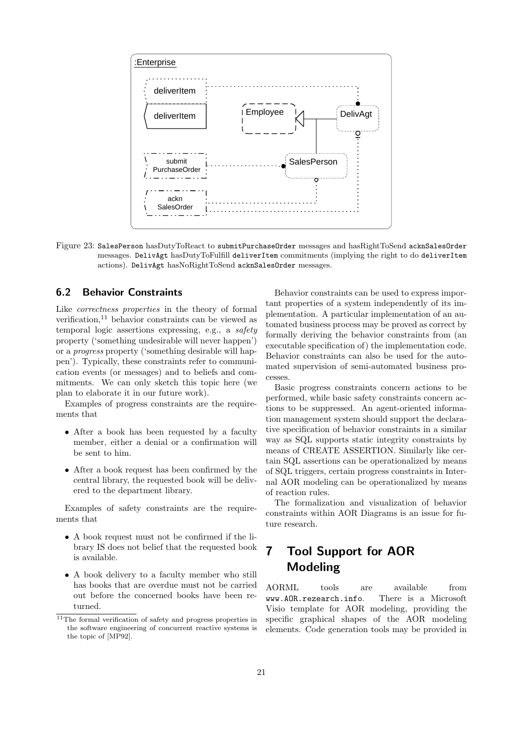

Figure 23: SalesPerson hasDutyToReact to submitPurchaseOrder messages and hasRightToSend acknSalesOrder messages. DelivAgt hasDutyToFulfill deliverItem commitments (implying the right to do deliverItem actions). DelivAgt hasNoRightToSend acknSalesOrder messages.

### 6.2 Behavior Constraints

Like correctness properties in the theory of formal  $\rm verification,^{11}$  behavior constraints can be viewed as temporal logic assertions expressing, e.g., a safety property ('something undesirable will never happen') or a progress property ('something desirable will happen'). Typically, these constraints refer to communication events (or messages) and to beliefs and commitments. We can only sketch this topic here (we plan to elaborate it in our future work).

Examples of progress constraints are the requirements that

- After a book has been requested by a faculty member, either a denial or a confirmation will be sent to him.
- After a book request has been confirmed by the central library, the requested book will be delivered to the department library.

Examples of safety constraints are the requirements that

- A book request must not be confirmed if the library IS does not belief that the requested book is available.
- A book delivery to a faculty member who still has books that are overdue must not be carried out before the concerned books have been returned.

Behavior constraints can be used to express important properties of a system independently of its implementation. A particular implementation of an automated business process may be proved as correct by formally deriving the behavior constraints from (an executable specification of) the implementation code. Behavior constraints can also be used for the automated supervision of semi-automated business processes.

Basic progress constraints concern actions to be performed, while basic safety constraints concern actions to be suppressed. An agent-oriented information management system should support the declarative specification of behavior constraints in a similar way as SQL supports static integrity constraints by means of CREATE ASSERTION. Similarly like certain SQL assertions can be operationalized by means of SQL triggers, certain progress constraints in Internal AOR modeling can be operationalized by means of reaction rules.

The formalization and visualization of behavior constraints within AOR Diagrams is an issue for future research.

## 7 Tool Support for AOR Modeling

AORML tools are available from www.AOR.rezearch.info. There is a Microsoft Visio template for AOR modeling, providing the specific graphical shapes of the AOR modeling elements. Code generation tools may be provided in

 $11$ The formal verification of safety and progress properties in the software engineering of concurrent reactive systems is the topic of [MP92].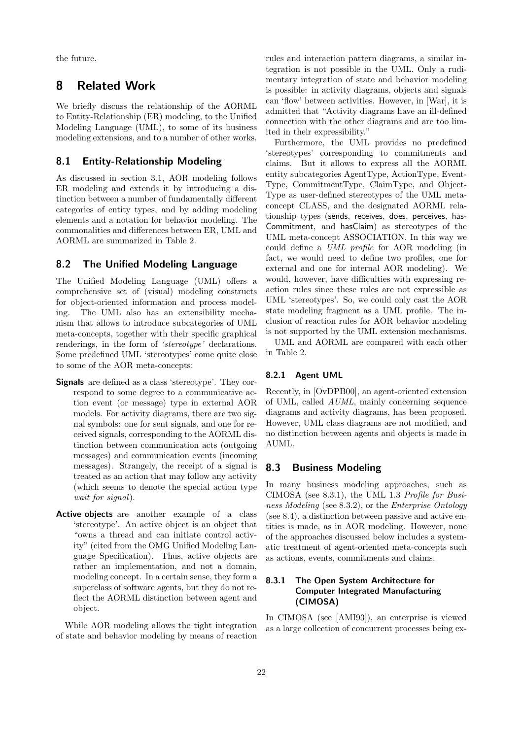the future.

### 8 Related Work

We briefly discuss the relationship of the AORML to Entity-Relationship (ER) modeling, to the Unified Modeling Language (UML), to some of its business modeling extensions, and to a number of other works.

### 8.1 Entity-Relationship Modeling

As discussed in section 3.1, AOR modeling follows ER modeling and extends it by introducing a distinction between a number of fundamentally different categories of entity types, and by adding modeling elements and a notation for behavior modeling. The commonalities and differences between ER, UML and AORML are summarized in Table 2.

### 8.2 The Unified Modeling Language

The Unified Modeling Language (UML) offers a comprehensive set of (visual) modeling constructs for object-oriented information and process modeling. The UML also has an extensibility mechanism that allows to introduce subcategories of UML meta-concepts, together with their specific graphical renderings, in the form of 'stereotype' declarations. Some predefined UML 'stereotypes' come quite close to some of the AOR meta-concepts:

- Signals are defined as a class 'stereotype'. They correspond to some degree to a communicative action event (or message) type in external AOR models. For activity diagrams, there are two signal symbols: one for sent signals, and one for received signals, corresponding to the AORML distinction between communication acts (outgoing messages) and communication events (incoming messages). Strangely, the receipt of a signal is treated as an action that may follow any activity (which seems to denote the special action type wait for signal).
- Active objects are another example of a class 'stereotype'. An active object is an object that "owns a thread and can initiate control activity" (cited from the OMG Unified Modeling Language Specification). Thus, active objects are rather an implementation, and not a domain, modeling concept. In a certain sense, they form a superclass of software agents, but they do not reflect the AORML distinction between agent and object.

While AOR modeling allows the tight integration of state and behavior modeling by means of reaction rules and interaction pattern diagrams, a similar integration is not possible in the UML. Only a rudimentary integration of state and behavior modeling is possible: in activity diagrams, objects and signals can 'flow' between activities. However, in [War], it is admitted that "Activity diagrams have an ill-defined connection with the other diagrams and are too limited in their expressibility."

Furthermore, the UML provides no predefined 'stereotypes' corresponding to commitments and claims. But it allows to express all the AORML entity subcategories AgentType, ActionType, Event-Type, CommitmentType, ClaimType, and Object-Type as user-defined stereotypes of the UML metaconcept CLASS, and the designated AORML relationship types (sends, receives, does, perceives, has-Commitment, and hasClaim) as stereotypes of the UML meta-concept ASSOCIATION. In this way we could define a UML profile for AOR modeling (in fact, we would need to define two profiles, one for external and one for internal AOR modeling). We would, however, have difficulties with expressing reaction rules since these rules are not expressible as UML 'stereotypes'. So, we could only cast the AOR state modeling fragment as a UML profile. The inclusion of reaction rules for AOR behavior modeling is not supported by the UML extension mechanisms.

UML and AORML are compared with each other in Table 2.

#### 8.2.1 Agent UML

Recently, in [OvDPB00], an agent-oriented extension of UML, called AUML, mainly concerning sequence diagrams and activity diagrams, has been proposed. However, UML class diagrams are not modified, and no distinction between agents and objects is made in AUML.

#### 8.3 Business Modeling

In many business modeling approaches, such as CIMOSA (see 8.3.1), the UML 1.3 Profile for Business Modeling (see 8.3.2), or the Enterprise Ontology (see 8.4), a distinction between passive and active entities is made, as in AOR modeling. However, none of the approaches discussed below includes a systematic treatment of agent-oriented meta-concepts such as actions, events, commitments and claims.

### 8.3.1 The Open System Architecture for Computer Integrated Manufacturing (CIMOSA)

In CIMOSA (see [AMI93]), an enterprise is viewed as a large collection of concurrent processes being ex-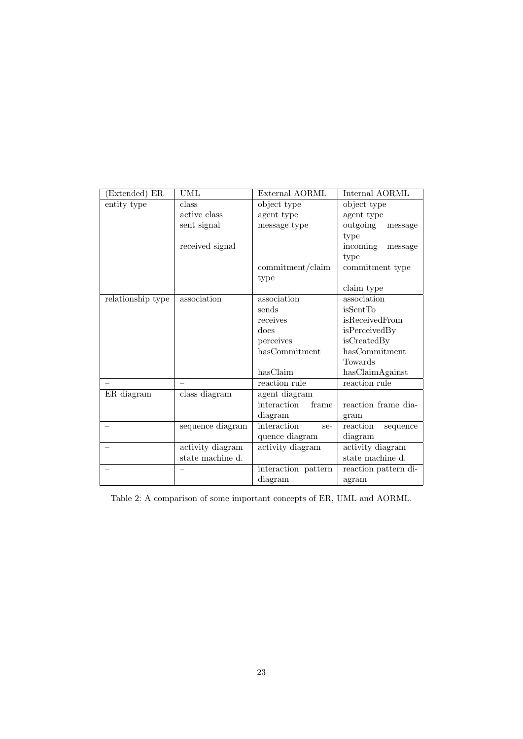| (Extended) ER     | UML              | External AORML       | Internal AORML       |  |
|-------------------|------------------|----------------------|----------------------|--|
| entity type       | class            | object type          | object type          |  |
|                   | active class     | agent type           | agent type           |  |
|                   | sent signal      | message type         | outgoing<br>message  |  |
|                   |                  |                      | type                 |  |
|                   | received signal  |                      | incoming<br>message  |  |
|                   |                  |                      | type                 |  |
|                   |                  | commitment/claim     | commitment type      |  |
|                   |                  | type                 |                      |  |
|                   |                  |                      | claim type           |  |
| relationship type | association      | association          | association          |  |
|                   |                  | sends                | isSentTo             |  |
|                   |                  | receives             | isReceivedFrom       |  |
|                   |                  | does                 | isPerceivedBy        |  |
|                   |                  | perceives            | isCreatedBy          |  |
|                   |                  | hasCommitment        | hasCommitment        |  |
|                   |                  |                      | Towards              |  |
|                   |                  | hasClaim             | hasClaimAgainst      |  |
|                   |                  | reaction rule        | reaction rule        |  |
| ER diagram        | class diagram    | agent diagram        |                      |  |
|                   |                  | interaction<br>frame | reaction frame dia-  |  |
|                   |                  | diagram              | gram                 |  |
|                   | sequence diagram | interaction<br>$Se-$ | reaction<br>sequence |  |
|                   |                  | quence diagram       | diagram              |  |
|                   | activity diagram | activity diagram     | activity diagram     |  |
|                   | state machine d. |                      | state machine d.     |  |
|                   |                  | interaction pattern  | reaction pattern di- |  |
|                   |                  | diagram              | agram                |  |

Table 2: A comparison of some important concepts of ER, UML and AORML.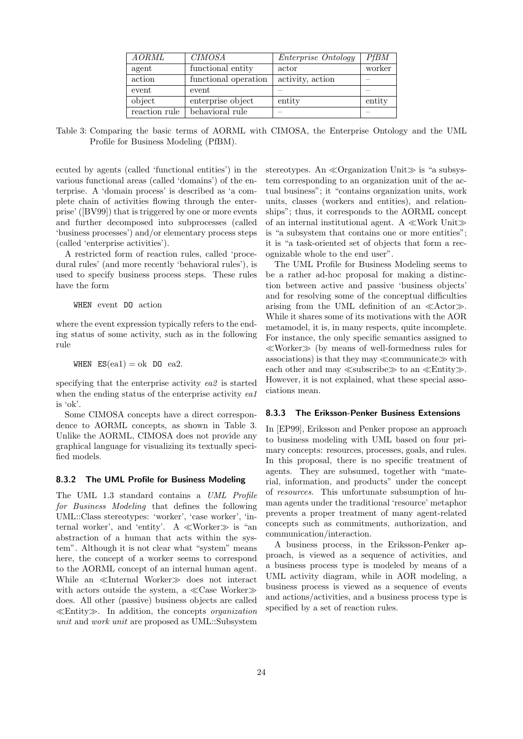| $A\mathcal{O}\mathcal{R}\mathcal{M}\mathcal{L}$ | <b>CIMOSA</b>        | <i>Enterprise Ontology</i> | PfBM   |
|-------------------------------------------------|----------------------|----------------------------|--------|
| agent                                           | functional entity    | actor                      | worker |
| action                                          | functional operation | activity, action           |        |
| event                                           | event                |                            |        |
| object                                          | enterprise object    | entity                     | entity |
| reaction rule                                   | behavioral rule      |                            |        |

Table 3: Comparing the basic terms of AORML with CIMOSA, the Enterprise Ontology and the UML Profile for Business Modeling (PfBM).

ecuted by agents (called 'functional entities') in the various functional areas (called 'domains') of the enterprise. A 'domain process' is described as 'a complete chain of activities flowing through the enterprise' ([BV99]) that is triggered by one or more events and further decomposed into subprocesses (called 'business processes') and/or elementary process steps (called 'enterprise activities').

A restricted form of reaction rules, called 'procedural rules' (and more recently 'behavioral rules'), is used to specify business process steps. These rules have the form

WHEN event DO action

where the event expression typically refers to the ending status of some activity, such as in the following rule

WHEN  $ES(ea1) = ok$  DO ea2.

specifying that the enterprise activity ea2 is started when the ending status of the enterprise activity eal. is 'ok'.

Some CIMOSA concepts have a direct correspondence to AORML concepts, as shown in Table 3. Unlike the AORML, CIMOSA does not provide any graphical language for visualizing its textually specified models.

#### 8.3.2 The UML Profile for Business Modeling

The UML 1.3 standard contains a UML Profile for Business Modeling that defines the following UML::Class stereotypes: 'worker', 'case worker', 'internal worker', and 'entity'. A  $\ll$ Worker $\gg$  is "an abstraction of a human that acts within the system". Although it is not clear what "system" means here, the concept of a worker seems to correspond to the AORML concept of an internal human agent. While an  $\ll$ Internal Worker $\gg$  does not interact with actors outside the system, a  $\ll$ Case Worker $\gg$ does. All other (passive) business objects are called  $\ll$ Entity $\gg$ . In addition, the concepts *organization* unit and work unit are proposed as UML::Subsystem

stereotypes. An  $\ll$ Organization Unit  $\gg$  is "a subsystem corresponding to an organization unit of the actual business"; it "contains organization units, work units, classes (workers and entities), and relationships"; thus, it corresponds to the AORML concept of an internal institutional agent. A  $\ll$ Work Unit $\gg$ is "a subsystem that contains one or more entities"; it is "a task-oriented set of objects that form a recognizable whole to the end user".

The UML Profile for Business Modeling seems to be a rather ad-hoc proposal for making a distinction between active and passive 'business objects' and for resolving some of the conceptual difficulties arising from the UML definition of an  $\ll$ Actor... While it shares some of its motivations with the AOR metamodel, it is, in many respects, quite incomplete. For instance, the only specific semantics assigned to  $\ll$ Worker $\gg$  (by means of well-formedness rules for associations) is that they may  $\ll$  communicate  $\gg$  with each other and may  $\ll$ subscribe $\gg$  to an  $\ll$ Entity $\gg$ . However, it is not explained, what these special associations mean.

#### 8.3.3 The Eriksson-Penker Business Extensions

In [EP99], Eriksson and Penker propose an approach to business modeling with UML based on four primary concepts: resources, processes, goals, and rules. In this proposal, there is no specific treatment of agents. They are subsumed, together with "material, information, and products" under the concept of resources. This unfortunate subsumption of human agents under the traditional 'resource' metaphor prevents a proper treatment of many agent-related concepts such as commitments, authorization, and communication/interaction.

A business process, in the Eriksson-Penker approach, is viewed as a sequence of activities, and a business process type is modeled by means of a UML activity diagram, while in AOR modeling, a business process is viewed as a sequence of events and actions/activities, and a business process type is specified by a set of reaction rules.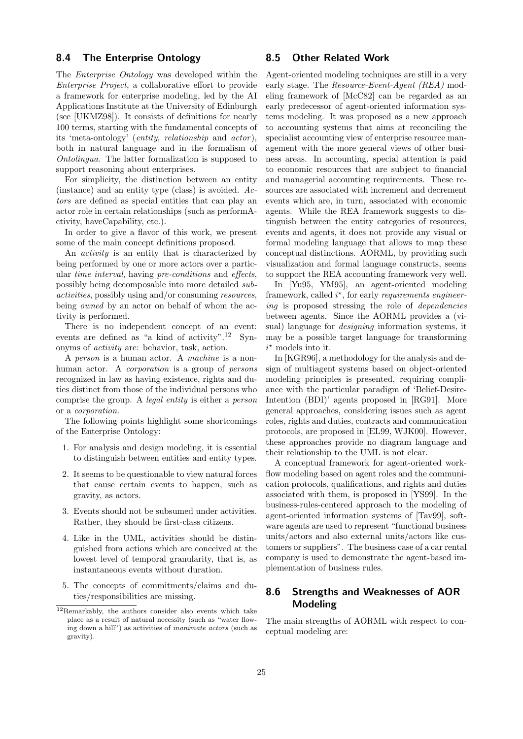#### 8.4 The Enterprise Ontology

The Enterprise Ontology was developed within the Enterprise Project, a collaborative effort to provide a framework for enterprise modeling, led by the AI Applications Institute at the University of Edinburgh (see [UKMZ98]). It consists of definitions for nearly 100 terms, starting with the fundamental concepts of its 'meta-ontology' (entity, relationship and actor), both in natural language and in the formalism of Ontolingua. The latter formalization is supposed to support reasoning about enterprises.

For simplicity, the distinction between an entity (instance) and an entity type (class) is avoided. Actors are defined as special entities that can play an actor role in certain relationships (such as performActivity, haveCapability, etc.).

In order to give a flavor of this work, we present some of the main concept definitions proposed.

An activity is an entity that is characterized by being performed by one or more actors over a particular time interval, having pre-conditions and effects, possibly being decomposable into more detailed subactivities, possibly using and/or consuming resources, being *owned* by an actor on behalf of whom the activity is performed.

There is no independent concept of an event: events are defined as "a kind of activity".<sup>12</sup> Synonyms of activity are: behavior, task, action.

A person is a human actor. A machine is a nonhuman actor. A *corporation* is a group of *persons* recognized in law as having existence, rights and duties distinct from those of the individual persons who comprise the group. A legal entity is either a person or a corporation.

The following points highlight some shortcomings of the Enterprise Ontology:

- 1. For analysis and design modeling, it is essential to distinguish between entities and entity types.
- 2. It seems to be questionable to view natural forces that cause certain events to happen, such as gravity, as actors.
- 3. Events should not be subsumed under activities. Rather, they should be first-class citizens.
- 4. Like in the UML, activities should be distinguished from actions which are conceived at the lowest level of temporal granularity, that is, as instantaneous events without duration.
- 5. The concepts of commitments/claims and duties/responsibilities are missing.

#### 8.5 Other Related Work

Agent-oriented modeling techniques are still in a very early stage. The *Resource-Event-Agent* (*REA*) modeling framework of [McC82] can be regarded as an early predecessor of agent-oriented information systems modeling. It was proposed as a new approach to accounting systems that aims at reconciling the specialist accounting view of enterprise resource management with the more general views of other business areas. In accounting, special attention is paid to economic resources that are subject to financial and managerial accounting requirements. These resources are associated with increment and decrement events which are, in turn, associated with economic agents. While the REA framework suggests to distinguish between the entity categories of resources, events and agents, it does not provide any visual or formal modeling language that allows to map these conceptual distinctions. AORML, by providing such visualization and formal language constructs, seems to support the REA accounting framework very well.

In [Yu95, YM95], an agent-oriented modeling framework, called  $i^*$ , for early requirements engineering is proposed stressing the role of dependencies between agents. Since the AORML provides a (visual) language for designing information systems, it may be a possible target language for transforming  $i^*$  models into it.

In [KGR96], a methodology for the analysis and design of multiagent systems based on object-oriented modeling principles is presented, requiring compliance with the particular paradigm of 'Belief-Desire-Intention (BDI)' agents proposed in [RG91]. More general approaches, considering issues such as agent roles, rights and duties, contracts and communication protocols, are proposed in [EL99, WJK00]. However, these approaches provide no diagram language and their relationship to the UML is not clear.

A conceptual framework for agent-oriented workflow modeling based on agent roles and the communication protocols, qualifications, and rights and duties associated with them, is proposed in [YS99]. In the business-rules-centered approach to the modeling of agent-oriented information systems of [Tav99], software agents are used to represent "functional business units/actors and also external units/actors like customers or suppliers". The business case of a car rental company is used to demonstrate the agent-based implementation of business rules.

### 8.6 Strengths and Weaknesses of AOR Modeling

The main strengths of AORML with respect to conceptual modeling are:

<sup>12</sup>Remarkably, the authors consider also events which take place as a result of natural necessity (such as "water flowing down a hill") as activities of inanimate actors (such as gravity).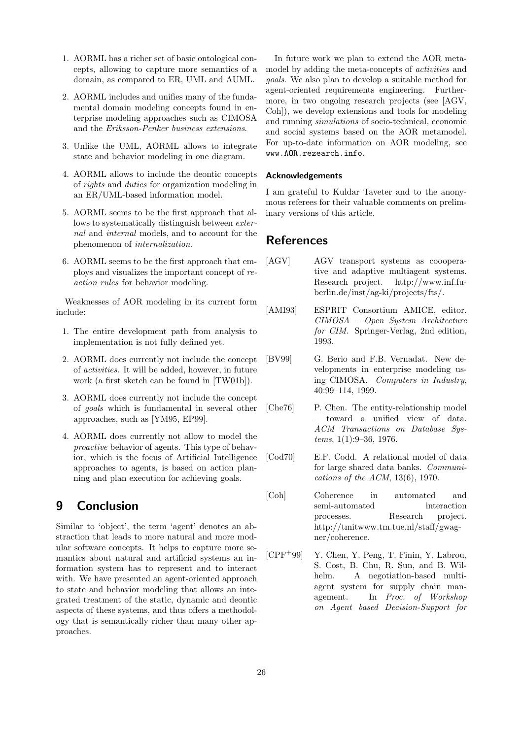- 1. AORML has a richer set of basic ontological concepts, allowing to capture more semantics of a domain, as compared to ER, UML and AUML.
- 2. AORML includes and unifies many of the fundamental domain modeling concepts found in enterprise modeling approaches such as CIMOSA and the Eriksson-Penker business extensions.
- 3. Unlike the UML, AORML allows to integrate state and behavior modeling in one diagram.
- 4. AORML allows to include the deontic concepts of rights and duties for organization modeling in an ER/UML-based information model.
- 5. AORML seems to be the first approach that allows to systematically distinguish between external and internal models, and to account for the phenomenon of internalization.
- 6. AORML seems to be the first approach that employs and visualizes the important concept of reaction rules for behavior modeling.

Weaknesses of AOR modeling in its current form include:

- 1. The entire development path from analysis to implementation is not fully defined yet.
- 2. AORML does currently not include the concept of activities. It will be added, however, in future work (a first sketch can be found in [TW01b]).
- 3. AORML does currently not include the concept of goals which is fundamental in several other approaches, such as [YM95, EP99].
- 4. AORML does currently not allow to model the proactive behavior of agents. This type of behavior, which is the focus of Artificial Intelligence approaches to agents, is based on action planning and plan execution for achieving goals.

## 9 Conclusion

Similar to 'object', the term 'agent' denotes an abstraction that leads to more natural and more modular software concepts. It helps to capture more semantics about natural and artificial systems an information system has to represent and to interact with. We have presented an agent-oriented approach to state and behavior modeling that allows an integrated treatment of the static, dynamic and deontic aspects of these systems, and thus offers a methodology that is semantically richer than many other approaches.

In future work we plan to extend the AOR metamodel by adding the meta-concepts of activities and goals. We also plan to develop a suitable method for agent-oriented requirements engineering. Furthermore, in two ongoing research projects (see [AGV, Coh]), we develop extensions and tools for modeling and running simulations of socio-technical, economic and social systems based on the AOR metamodel. For up-to-date information on AOR modeling, see www.AOR.rezearch.info.

#### Acknowledgements

I am grateful to Kuldar Taveter and to the anonymous referees for their valuable comments on preliminary versions of this article.

### References

- [AGV] AGV transport systems as coooperative and adaptive multiagent systems. Research project. http://www.inf.fuberlin.de/inst/ag-ki/projects/fts/.
- [AMI93] ESPRIT Consortium AMICE, editor. CIMOSA – Open System Architecture for CIM. Springer-Verlag, 2nd edition, 1993.
- [BV99] G. Berio and F.B. Vernadat. New developments in enterprise modeling using CIMOSA. Computers in Industry, 40:99–114, 1999.
- [Che76] P. Chen. The entity-relationship model – toward a unified view of data. ACM Transactions on Database Systems, 1(1):9–36, 1976.
- [Cod70] E.F. Codd. A relational model of data for large shared data banks. Communications of the ACM, 13(6), 1970.
- [Coh] Coherence in automated and semi-automated interaction processes. Research project. http://tmitwww.tm.tue.nl/staff/gwagner/coherence.
- [CPF<sup>+</sup>99] Y. Chen, Y. Peng, T. Finin, Y. Labrou, S. Cost, B. Chu, R. Sun, and B. Wilhelm. A negotiation-based multiagent system for supply chain management. In Proc. of Workshop on Agent based Decision-Support for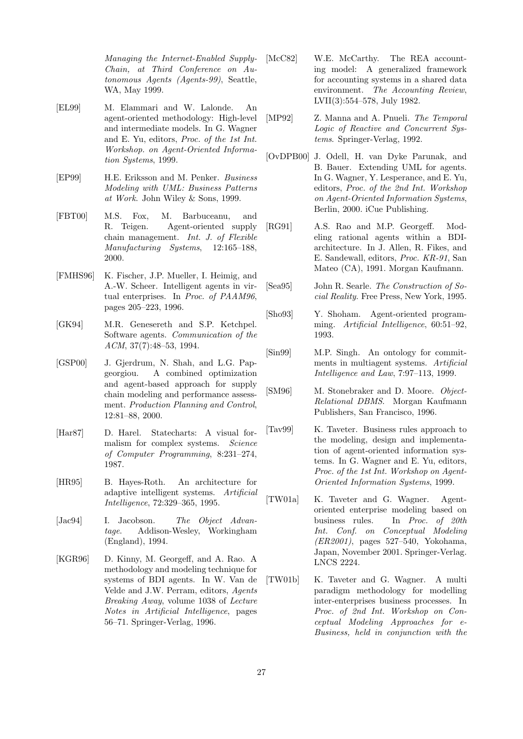Managing the Internet-Enabled Supply-Chain, at Third Conference on Autonomous Agents (Agents-99), Seattle, WA, May 1999.

- [EL99] M. Elammari and W. Lalonde. An agent-oriented methodology: High-level and intermediate models. In G. Wagner and E. Yu, editors, Proc. of the 1st Int. Workshop. on Agent-Oriented Information Systems, 1999.
- [EP99] H.E. Eriksson and M. Penker. Business Modeling with UML: Business Patterns at Work. John Wiley & Sons, 1999.
- [FBT00] M.S. Fox, M. Barbuceanu, and R. Teigen. Agent-oriented supply chain management. Int. J. of Flexible Manufacturing Systems, 12:165–188, 2000.
- [FMHS96] K. Fischer, J.P. Mueller, I. Heimig, and A.-W. Scheer. Intelligent agents in virtual enterprises. In Proc. of PAAM96, pages 205–223, 1996.
- [GK94] M.R. Genesereth and S.P. Ketchpel. Software agents. Communication of the ACM, 37(7):48–53, 1994.
- [GSP00] J. Gjerdrum, N. Shah, and L.G. Papgeorgiou. A combined optimization and agent-based approach for supply chain modeling and performance assessment. Production Planning and Control, 12:81–88, 2000.
- [Har87] D. Harel. Statecharts: A visual formalism for complex systems. Science of Computer Programming, 8:231–274, 1987.
- [HR95] B. Hayes-Roth. An architecture for adaptive intelligent systems. Artificial Intelligence, 72:329–365, 1995.
- [Jac94] I. Jacobson. The Object Advantage. Addison-Wesley, Workingham (England), 1994.
- [KGR96] D. Kinny, M. Georgeff, and A. Rao. A methodology and modeling technique for systems of BDI agents. In W. Van de Velde and J.W. Perram, editors, Agents Breaking Away, volume 1038 of Lecture Notes in Artificial Intelligence, pages 56–71. Springer-Verlag, 1996.
- [McC82] W.E. McCarthy. The REA accounting model: A generalized framework for accounting systems in a shared data environment. The Accounting Review, LVII(3):554–578, July 1982.
- [MP92] Z. Manna and A. Pnueli. The Temporal Logic of Reactive and Concurrent Systems. Springer-Verlag, 1992.
- [OvDPB00] J. Odell, H. van Dyke Parunak, and B. Bauer. Extending UML for agents. In G. Wagner, Y. Lesperance, and E. Yu, editors, Proc. of the 2nd Int. Workshop on Agent-Oriented Information Systems, Berlin, 2000. iCue Publishing.
- [RG91] A.S. Rao and M.P. Georgeff. Modeling rational agents within a BDIarchitecture. In J. Allen, R. Fikes, and E. Sandewall, editors, Proc. KR-91, San Mateo (CA), 1991. Morgan Kaufmann.
- [Sea95] John R. Searle. The Construction of Social Reality. Free Press, New York, 1995.
- [Sho93] Y. Shoham. Agent-oriented programming. Artificial Intelligence, 60:51–92, 1993.
- [Sin99] M.P. Singh. An ontology for commitments in multiagent systems. Artificial Intelligence and Law, 7:97–113, 1999.
- [SM96] M. Stonebraker and D. Moore. Object-Relational DBMS. Morgan Kaufmann Publishers, San Francisco, 1996.
- [Tav99] K. Taveter. Business rules approach to the modeling, design and implementation of agent-oriented information systems. In G. Wagner and E. Yu, editors, Proc. of the 1st Int. Workshop on Agent-Oriented Information Systems, 1999.
- [TW01a] K. Taveter and G. Wagner. Agentoriented enterprise modeling based on business rules. In Proc. of 20th Int. Conf. on Conceptual Modeling (ER2001), pages 527–540, Yokohama, Japan, November 2001. Springer-Verlag. LNCS 2224.
- [TW01b] K. Taveter and G. Wagner. A multi paradigm methodology for modelling inter-enterprises business processes. In Proc. of 2nd Int. Workshop on Conceptual Modeling Approaches for e-Business, held in conjunction with the